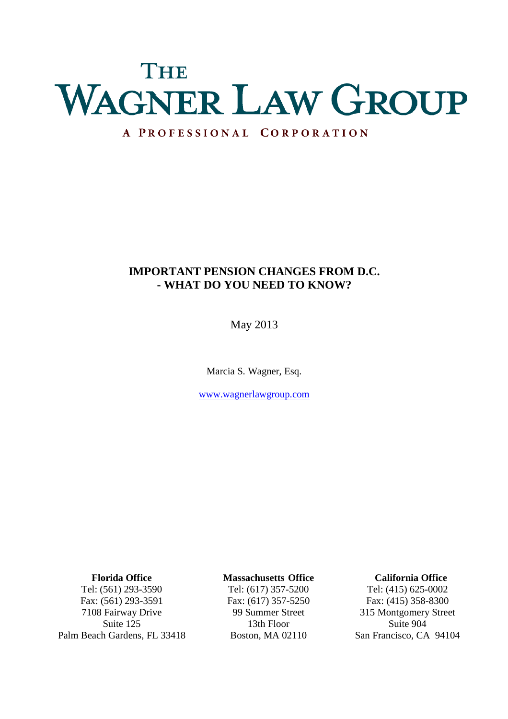# THE WAGNER LAW GROUP

# A PROFESSIONAL CORPORATION

# **IMPORTANT PENSION CHANGES FROM D.C. - WHAT DO YOU NEED TO KNOW?**

May 2013

Marcia S. Wagner, Esq.

www.wagnerlawgroup.com

**Florida Office** Tel: (561) 293-3590 Fax: (561) 293-3591 7108 Fairway Drive Suite 125 Palm Beach Gardens, FL 33418

#### **Massachusetts Office**

Tel: (617) 357-5200 Fax: (617) 357-5250 99 Summer Street 13th Floor Boston, MA 02110

#### **California Office**

Tel: (415) 625-0002 Fax: (415) 358-8300 315 Montgomery Street Suite 904 San Francisco, CA 94104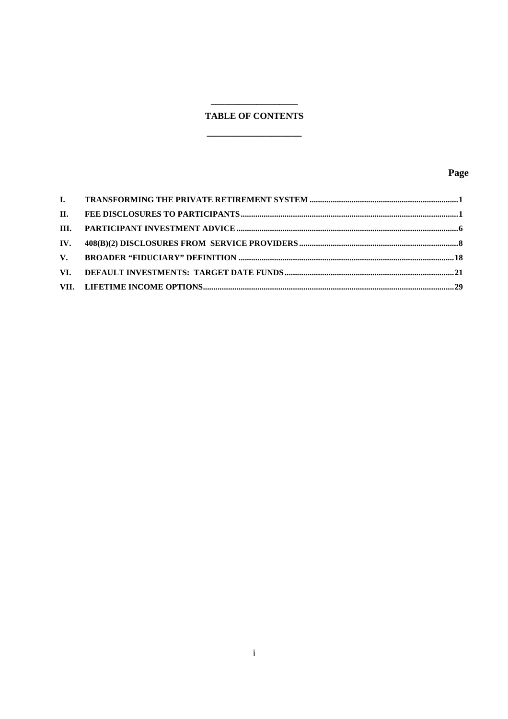# **TABLE OF CONTENTS**

 $\overline{\phantom{a}}$ 

# Page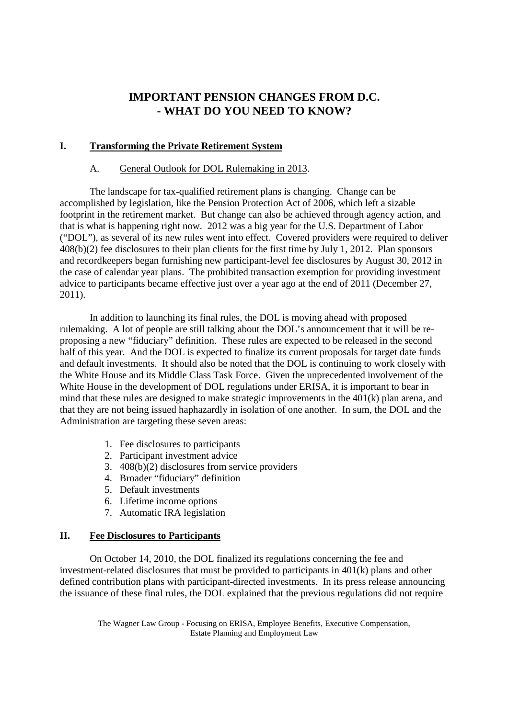# **IMPORTANT PENSION CHANGES FROM D.C. - WHAT DO YOU NEED TO KNOW?**

# **I. Transforming the Private Retirement System**

# A. General Outlook for DOL Rulemaking in 2013.

The landscape for tax-qualified retirement plans is changing. Change can be accomplished by legislation, like the Pension Protection Act of 2006, which left a sizable footprint in the retirement market. But change can also be achieved through agency action, and that is what is happening right now. 2012 was a big year for the U.S. Department of Labor ("DOL"), as several of its new rules went into effect. Covered providers were required to deliver 408(b)(2) fee disclosures to their plan clients for the first time by July 1, 2012. Plan sponsors and recordkeepers began furnishing new participant-level fee disclosures by August 30, 2012 in the case of calendar year plans. The prohibited transaction exemption for providing investment advice to participants became effective just over a year ago at the end of 2011 (December 27, 2011).

In addition to launching its final rules, the DOL is moving ahead with proposed rulemaking. A lot of people are still talking about the DOL's announcement that it will be reproposing a new "fiduciary" definition. These rules are expected to be released in the second half of this year. And the DOL is expected to finalize its current proposals for target date funds and default investments. It should also be noted that the DOL is continuing to work closely with the White House and its Middle Class Task Force. Given the unprecedented involvement of the White House in the development of DOL regulations under ERISA, it is important to bear in mind that these rules are designed to make strategic improvements in the 401(k) plan arena, and that they are not being issued haphazardly in isolation of one another. In sum, the DOL and the Administration are targeting these seven areas:

- 1. Fee disclosures to participants
- 2. Participant investment advice
- 3. 408(b)(2) disclosures from service providers
- 4. Broader "fiduciary" definition
- 5. Default investments
- 6. Lifetime income options
- 7. Automatic IRA legislation

# **II. Fee Disclosures to Participants**

On October 14, 2010, the DOL finalized its regulations concerning the fee and investment-related disclosures that must be provided to participants in 401(k) plans and other defined contribution plans with participant-directed investments. In its press release announcing the issuance of these final rules, the DOL explained that the previous regulations did not require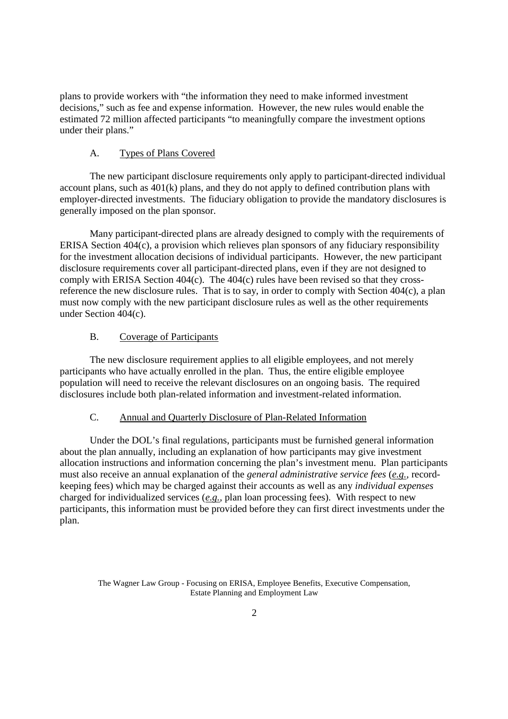plans to provide workers with "the information they need to make informed investment decisions," such as fee and expense information. However, the new rules would enable the estimated 72 million affected participants "to meaningfully compare the investment options under their plans."

# A. Types of Plans Covered

The new participant disclosure requirements only apply to participant-directed individual account plans, such as 401(k) plans, and they do not apply to defined contribution plans with employer-directed investments. The fiduciary obligation to provide the mandatory disclosures is generally imposed on the plan sponsor.

Many participant-directed plans are already designed to comply with the requirements of ERISA Section 404(c), a provision which relieves plan sponsors of any fiduciary responsibility for the investment allocation decisions of individual participants. However, the new participant disclosure requirements cover all participant-directed plans, even if they are not designed to comply with ERISA Section 404(c). The 404(c) rules have been revised so that they crossreference the new disclosure rules. That is to say, in order to comply with Section 404(c), a plan must now comply with the new participant disclosure rules as well as the other requirements under Section 404(c).

# B. Coverage of Participants

The new disclosure requirement applies to all eligible employees, and not merely participants who have actually enrolled in the plan. Thus, the entire eligible employee population will need to receive the relevant disclosures on an ongoing basis. The required disclosures include both plan-related information and investment-related information.

# C. Annual and Quarterly Disclosure of Plan-Related Information

Under the DOL's final regulations, participants must be furnished general information about the plan annually, including an explanation of how participants may give investment allocation instructions and information concerning the plan's investment menu. Plan participants must also receive an annual explanation of the *general administrative service fees* (*e.g.*, recordkeeping fees) which may be charged against their accounts as well as any *individual expenses* charged for individualized services (*e.g.*, plan loan processing fees). With respect to new participants, this information must be provided before they can first direct investments under the plan.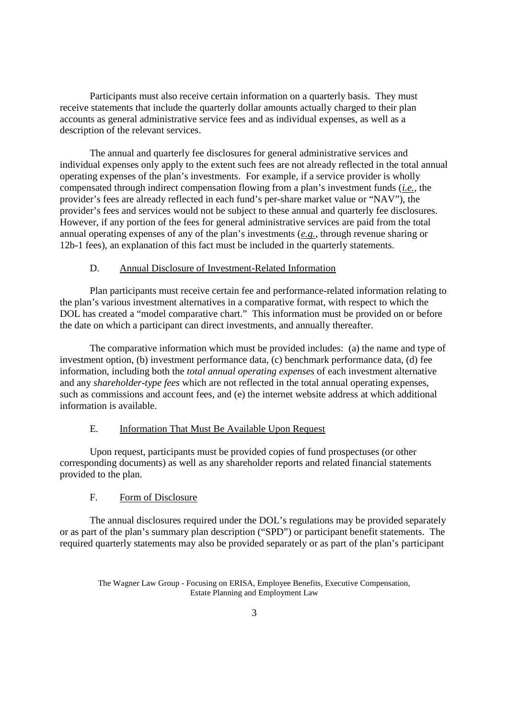Participants must also receive certain information on a quarterly basis. They must receive statements that include the quarterly dollar amounts actually charged to their plan accounts as general administrative service fees and as individual expenses, as well as a description of the relevant services.

The annual and quarterly fee disclosures for general administrative services and individual expenses only apply to the extent such fees are not already reflected in the total annual operating expenses of the plan's investments. For example, if a service provider is wholly compensated through indirect compensation flowing from a plan's investment funds (*i.e.*, the provider's fees are already reflected in each fund's per-share market value or "NAV"), the provider's fees and services would not be subject to these annual and quarterly fee disclosures. However, if any portion of the fees for general administrative services are paid from the total annual operating expenses of any of the plan's investments (*e.g.*, through revenue sharing or 12b-1 fees), an explanation of this fact must be included in the quarterly statements.

#### D. Annual Disclosure of Investment-Related Information

Plan participants must receive certain fee and performance-related information relating to the plan's various investment alternatives in a comparative format, with respect to which the DOL has created a "model comparative chart." This information must be provided on or before the date on which a participant can direct investments, and annually thereafter.

The comparative information which must be provided includes: (a) the name and type of investment option, (b) investment performance data, (c) benchmark performance data, (d) fee information, including both the *total annual operating expenses* of each investment alternative and any *shareholder-type fees* which are not reflected in the total annual operating expenses, such as commissions and account fees, and (e) the internet website address at which additional information is available.

#### E. Information That Must Be Available Upon Request

Upon request, participants must be provided copies of fund prospectuses (or other corresponding documents) as well as any shareholder reports and related financial statements provided to the plan.

#### F. Form of Disclosure

The annual disclosures required under the DOL's regulations may be provided separately or as part of the plan's summary plan description ("SPD") or participant benefit statements. The required quarterly statements may also be provided separately or as part of the plan's participant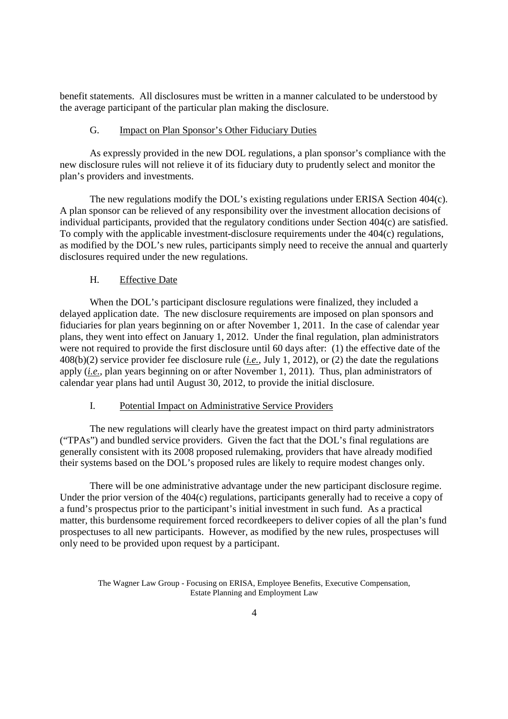benefit statements. All disclosures must be written in a manner calculated to be understood by the average participant of the particular plan making the disclosure.

#### G. Impact on Plan Sponsor's Other Fiduciary Duties

As expressly provided in the new DOL regulations, a plan sponsor's compliance with the new disclosure rules will not relieve it of its fiduciary duty to prudently select and monitor the plan's providers and investments.

The new regulations modify the DOL's existing regulations under ERISA Section 404(c). A plan sponsor can be relieved of any responsibility over the investment allocation decisions of individual participants, provided that the regulatory conditions under Section 404(c) are satisfied. To comply with the applicable investment-disclosure requirements under the 404(c) regulations, as modified by the DOL's new rules, participants simply need to receive the annual and quarterly disclosures required under the new regulations.

## H. Effective Date

When the DOL's participant disclosure regulations were finalized, they included a delayed application date. The new disclosure requirements are imposed on plan sponsors and fiduciaries for plan years beginning on or after November 1, 2011. In the case of calendar year plans, they went into effect on January 1, 2012. Under the final regulation, plan administrators were not required to provide the first disclosure until 60 days after: (1) the effective date of the 408(b)(2) service provider fee disclosure rule (*i.e.*, July 1, 2012), or (2) the date the regulations apply (*i.e.*, plan years beginning on or after November 1, 2011). Thus, plan administrators of calendar year plans had until August 30, 2012, to provide the initial disclosure.

#### I. Potential Impact on Administrative Service Providers

The new regulations will clearly have the greatest impact on third party administrators ("TPAs") and bundled service providers. Given the fact that the DOL's final regulations are generally consistent with its 2008 proposed rulemaking, providers that have already modified their systems based on the DOL's proposed rules are likely to require modest changes only.

There will be one administrative advantage under the new participant disclosure regime. Under the prior version of the 404(c) regulations, participants generally had to receive a copy of a fund's prospectus prior to the participant's initial investment in such fund. As a practical matter, this burdensome requirement forced recordkeepers to deliver copies of all the plan's fund prospectuses to all new participants. However, as modified by the new rules, prospectuses will only need to be provided upon request by a participant.

The Wagner Law Group - Focusing on ERISA, Employee Benefits, Executive Compensation, Estate Planning and Employment Law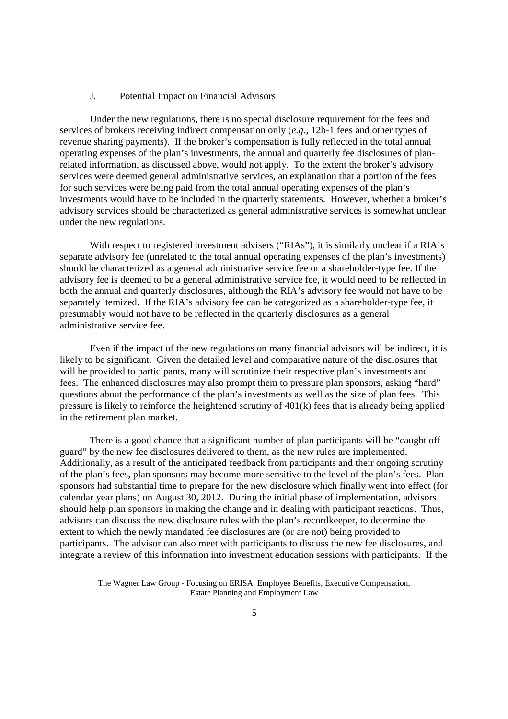#### J. Potential Impact on Financial Advisors

Under the new regulations, there is no special disclosure requirement for the fees and services of brokers receiving indirect compensation only (*e.g.*, 12b-1 fees and other types of revenue sharing payments). If the broker's compensation is fully reflected in the total annual operating expenses of the plan's investments, the annual and quarterly fee disclosures of planrelated information, as discussed above, would not apply. To the extent the broker's advisory services were deemed general administrative services, an explanation that a portion of the fees for such services were being paid from the total annual operating expenses of the plan's investments would have to be included in the quarterly statements. However, whether a broker's advisory services should be characterized as general administrative services is somewhat unclear under the new regulations.

With respect to registered investment advisers ("RIAs"), it is similarly unclear if a RIA's separate advisory fee (unrelated to the total annual operating expenses of the plan's investments) should be characterized as a general administrative service fee or a shareholder-type fee. If the advisory fee is deemed to be a general administrative service fee, it would need to be reflected in both the annual and quarterly disclosures, although the RIA's advisory fee would not have to be separately itemized. If the RIA's advisory fee can be categorized as a shareholder-type fee, it presumably would not have to be reflected in the quarterly disclosures as a general administrative service fee.

Even if the impact of the new regulations on many financial advisors will be indirect, it is likely to be significant. Given the detailed level and comparative nature of the disclosures that will be provided to participants, many will scrutinize their respective plan's investments and fees. The enhanced disclosures may also prompt them to pressure plan sponsors, asking "hard" questions about the performance of the plan's investments as well as the size of plan fees. This pressure is likely to reinforce the heightened scrutiny of 401(k) fees that is already being applied in the retirement plan market.

There is a good chance that a significant number of plan participants will be "caught off guard" by the new fee disclosures delivered to them, as the new rules are implemented. Additionally, as a result of the anticipated feedback from participants and their ongoing scrutiny of the plan's fees, plan sponsors may become more sensitive to the level of the plan's fees. Plan sponsors had substantial time to prepare for the new disclosure which finally went into effect (for calendar year plans) on August 30, 2012. During the initial phase of implementation, advisors should help plan sponsors in making the change and in dealing with participant reactions. Thus, advisors can discuss the new disclosure rules with the plan's recordkeeper, to determine the extent to which the newly mandated fee disclosures are (or are not) being provided to participants. The advisor can also meet with participants to discuss the new fee disclosures, and integrate a review of this information into investment education sessions with participants. If the

The Wagner Law Group - Focusing on ERISA, Employee Benefits, Executive Compensation, Estate Planning and Employment Law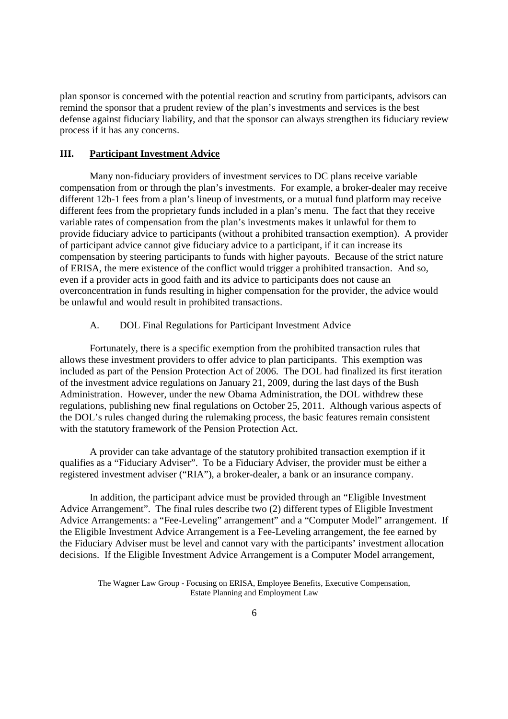plan sponsor is concerned with the potential reaction and scrutiny from participants, advisors can remind the sponsor that a prudent review of the plan's investments and services is the best defense against fiduciary liability, and that the sponsor can always strengthen its fiduciary review process if it has any concerns.

#### **III. Participant Investment Advice**

Many non-fiduciary providers of investment services to DC plans receive variable compensation from or through the plan's investments. For example, a broker-dealer may receive different 12b-1 fees from a plan's lineup of investments, or a mutual fund platform may receive different fees from the proprietary funds included in a plan's menu. The fact that they receive variable rates of compensation from the plan's investments makes it unlawful for them to provide fiduciary advice to participants (without a prohibited transaction exemption). A provider of participant advice cannot give fiduciary advice to a participant, if it can increase its compensation by steering participants to funds with higher payouts. Because of the strict nature of ERISA, the mere existence of the conflict would trigger a prohibited transaction. And so, even if a provider acts in good faith and its advice to participants does not cause an overconcentration in funds resulting in higher compensation for the provider, the advice would be unlawful and would result in prohibited transactions.

## A. DOL Final Regulations for Participant Investment Advice

Fortunately, there is a specific exemption from the prohibited transaction rules that allows these investment providers to offer advice to plan participants. This exemption was included as part of the Pension Protection Act of 2006. The DOL had finalized its first iteration of the investment advice regulations on January 21, 2009, during the last days of the Bush Administration. However, under the new Obama Administration, the DOL withdrew these regulations, publishing new final regulations on October 25, 2011. Although various aspects of the DOL's rules changed during the rulemaking process, the basic features remain consistent with the statutory framework of the Pension Protection Act.

A provider can take advantage of the statutory prohibited transaction exemption if it qualifies as a "Fiduciary Adviser". To be a Fiduciary Adviser, the provider must be either a registered investment adviser ("RIA"), a broker-dealer, a bank or an insurance company.

In addition, the participant advice must be provided through an "Eligible Investment Advice Arrangement". The final rules describe two (2) different types of Eligible Investment Advice Arrangements: a "Fee-Leveling" arrangement" and a "Computer Model" arrangement. If the Eligible Investment Advice Arrangement is a Fee-Leveling arrangement, the fee earned by the Fiduciary Adviser must be level and cannot vary with the participants' investment allocation decisions. If the Eligible Investment Advice Arrangement is a Computer Model arrangement,

The Wagner Law Group - Focusing on ERISA, Employee Benefits, Executive Compensation, Estate Planning and Employment Law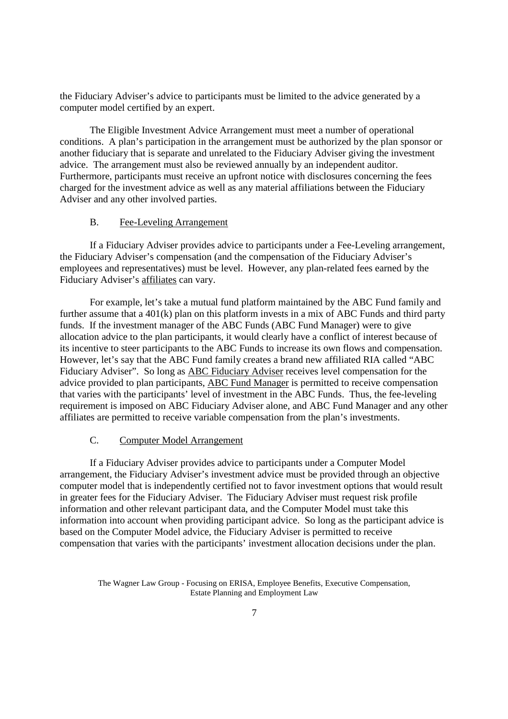the Fiduciary Adviser's advice to participants must be limited to the advice generated by a computer model certified by an expert.

The Eligible Investment Advice Arrangement must meet a number of operational conditions. A plan's participation in the arrangement must be authorized by the plan sponsor or another fiduciary that is separate and unrelated to the Fiduciary Adviser giving the investment advice. The arrangement must also be reviewed annually by an independent auditor. Furthermore, participants must receive an upfront notice with disclosures concerning the fees charged for the investment advice as well as any material affiliations between the Fiduciary Adviser and any other involved parties.

#### B. Fee-Leveling Arrangement

If a Fiduciary Adviser provides advice to participants under a Fee-Leveling arrangement, the Fiduciary Adviser's compensation (and the compensation of the Fiduciary Adviser's employees and representatives) must be level. However, any plan-related fees earned by the Fiduciary Adviser's affiliates can vary.

For example, let's take a mutual fund platform maintained by the ABC Fund family and further assume that a 401(k) plan on this platform invests in a mix of ABC Funds and third party funds. If the investment manager of the ABC Funds (ABC Fund Manager) were to give allocation advice to the plan participants, it would clearly have a conflict of interest because of its incentive to steer participants to the ABC Funds to increase its own flows and compensation. However, let's say that the ABC Fund family creates a brand new affiliated RIA called "ABC Fiduciary Adviser". So long as ABC Fiduciary Adviser receives level compensation for the advice provided to plan participants, ABC Fund Manager is permitted to receive compensation that varies with the participants' level of investment in the ABC Funds. Thus, the fee-leveling requirement is imposed on ABC Fiduciary Adviser alone, and ABC Fund Manager and any other affiliates are permitted to receive variable compensation from the plan's investments.

#### C. Computer Model Arrangement

If a Fiduciary Adviser provides advice to participants under a Computer Model arrangement, the Fiduciary Adviser's investment advice must be provided through an objective computer model that is independently certified not to favor investment options that would result in greater fees for the Fiduciary Adviser. The Fiduciary Adviser must request risk profile information and other relevant participant data, and the Computer Model must take this information into account when providing participant advice. So long as the participant advice is based on the Computer Model advice, the Fiduciary Adviser is permitted to receive compensation that varies with the participants' investment allocation decisions under the plan.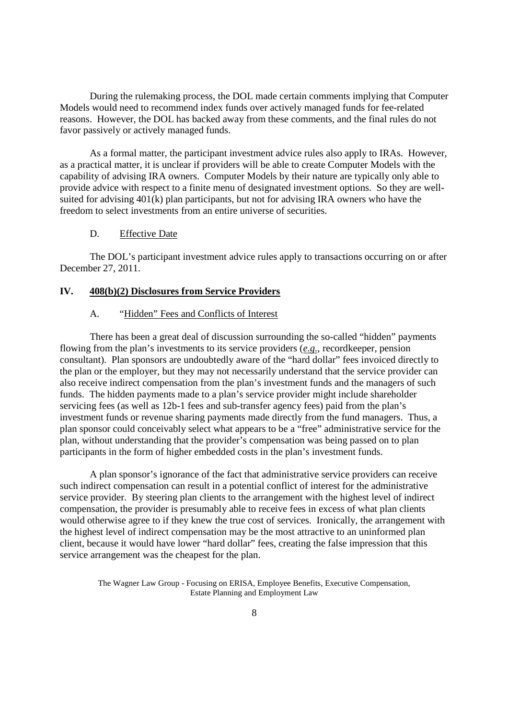During the rulemaking process, the DOL made certain comments implying that Computer Models would need to recommend index funds over actively managed funds for fee-related reasons. However, the DOL has backed away from these comments, and the final rules do not favor passively or actively managed funds.

As a formal matter, the participant investment advice rules also apply to IRAs. However, as a practical matter, it is unclear if providers will be able to create Computer Models with the capability of advising IRA owners. Computer Models by their nature are typically only able to provide advice with respect to a finite menu of designated investment options. So they are wellsuited for advising 401(k) plan participants, but not for advising IRA owners who have the freedom to select investments from an entire universe of securities.

#### D. Effective Date

The DOL's participant investment advice rules apply to transactions occurring on or after December 27, 2011.

#### **IV. 408(b)(2) Disclosures from Service Providers**

#### A. "Hidden" Fees and Conflicts of Interest

There has been a great deal of discussion surrounding the so-called "hidden" payments flowing from the plan's investments to its service providers (*e.g.*, recordkeeper, pension consultant). Plan sponsors are undoubtedly aware of the "hard dollar" fees invoiced directly to the plan or the employer, but they may not necessarily understand that the service provider can also receive indirect compensation from the plan's investment funds and the managers of such funds. The hidden payments made to a plan's service provider might include shareholder servicing fees (as well as 12b-1 fees and sub-transfer agency fees) paid from the plan's investment funds or revenue sharing payments made directly from the fund managers. Thus, a plan sponsor could conceivably select what appears to be a "free" administrative service for the plan, without understanding that the provider's compensation was being passed on to plan participants in the form of higher embedded costs in the plan's investment funds.

A plan sponsor's ignorance of the fact that administrative service providers can receive such indirect compensation can result in a potential conflict of interest for the administrative service provider. By steering plan clients to the arrangement with the highest level of indirect compensation, the provider is presumably able to receive fees in excess of what plan clients would otherwise agree to if they knew the true cost of services. Ironically, the arrangement with the highest level of indirect compensation may be the most attractive to an uninformed plan client, because it would have lower "hard dollar" fees, creating the false impression that this service arrangement was the cheapest for the plan.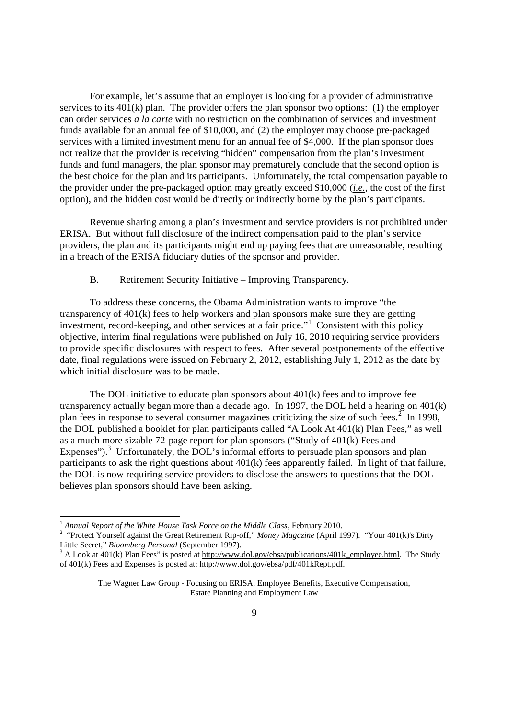For example, let's assume that an employer is looking for a provider of administrative services to its  $401(k)$  plan. The provider offers the plan sponsor two options: (1) the employer can order services *a la carte* with no restriction on the combination of services and investment funds available for an annual fee of \$10,000, and (2) the employer may choose pre-packaged services with a limited investment menu for an annual fee of \$4,000. If the plan sponsor does not realize that the provider is receiving "hidden" compensation from the plan's investment funds and fund managers, the plan sponsor may prematurely conclude that the second option is the best choice for the plan and its participants. Unfortunately, the total compensation payable to the provider under the pre-packaged option may greatly exceed \$10,000 (*i.e.*, the cost of the first option), and the hidden cost would be directly or indirectly borne by the plan's participants.

Revenue sharing among a plan's investment and service providers is not prohibited under ERISA. But without full disclosure of the indirect compensation paid to the plan's service providers, the plan and its participants might end up paying fees that are unreasonable, resulting in a breach of the ERISA fiduciary duties of the sponsor and provider.

#### B. Retirement Security Initiative – Improving Transparency.

To address these concerns, the Obama Administration wants to improve "the transparency of 401(k) fees to help workers and plan sponsors make sure they are getting investment, record-keeping, and other services at a fair price."<sup>1</sup> Consistent with this policy objective, interim final regulations were published on July 16, 2010 requiring service providers to provide specific disclosures with respect to fees. After several postponements of the effective date, final regulations were issued on February 2, 2012, establishing July 1, 2012 as the date by which initial disclosure was to be made.

The DOL initiative to educate plan sponsors about 401(k) fees and to improve fee transparency actually began more than a decade ago. In 1997, the DOL held a hearing on 401(k) plan fees in response to several consumer magazines criticizing the size of such fees.<sup>2</sup> In 1998, the DOL published a booklet for plan participants called "A Look At 401(k) Plan Fees," as well as a much more sizable 72-page report for plan sponsors ("Study of 401(k) Fees and Expenses").<sup>3</sup> Unfortunately, the DOL's informal efforts to persuade plan sponsors and plan participants to ask the right questions about 401(k) fees apparently failed. In light of that failure, the DOL is now requiring service providers to disclose the answers to questions that the DOL believes plan sponsors should have been asking.

<sup>1</sup> *Annual Report of the White House Task Force on the Middle Class*, February 2010.

<sup>&</sup>lt;sup>2</sup> "Protect Yourself against the Great Retirement Rip-off," *Money Magazine* (April 1997). "Your 401(k)'s Dirty Little Secret," *Bloomberg Personal* (September 1997).

 $3$  A Look at 401(k) Plan Fees" is posted at http://www.dol.gov/ebsa/publications/401k\_employee.html. The Study of 401(k) Fees and Expenses is posted at: http://www.dol.gov/ebsa/pdf/401kRept.pdf.

The Wagner Law Group - Focusing on ERISA, Employee Benefits, Executive Compensation, Estate Planning and Employment Law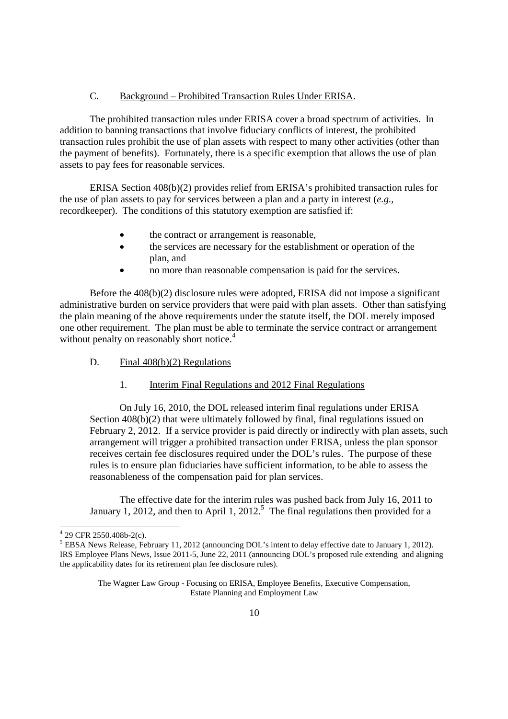# C. Background – Prohibited Transaction Rules Under ERISA.

The prohibited transaction rules under ERISA cover a broad spectrum of activities. In addition to banning transactions that involve fiduciary conflicts of interest, the prohibited transaction rules prohibit the use of plan assets with respect to many other activities (other than the payment of benefits). Fortunately, there is a specific exemption that allows the use of plan assets to pay fees for reasonable services.

ERISA Section 408(b)(2) provides relief from ERISA's prohibited transaction rules for the use of plan assets to pay for services between a plan and a party in interest (*e.g.*, recordkeeper). The conditions of this statutory exemption are satisfied if:

- the contract or arrangement is reasonable,
- the services are necessary for the establishment or operation of the plan, and
- no more than reasonable compensation is paid for the services.

Before the 408(b)(2) disclosure rules were adopted, ERISA did not impose a significant administrative burden on service providers that were paid with plan assets. Other than satisfying the plain meaning of the above requirements under the statute itself, the DOL merely imposed one other requirement. The plan must be able to terminate the service contract or arrangement without penalty on reasonably short notice.<sup>4</sup>

- D. Final  $408(b)(2)$  Regulations
	- 1. Interim Final Regulations and 2012 Final Regulations

On July 16, 2010, the DOL released interim final regulations under ERISA Section 408(b)(2) that were ultimately followed by final, final regulations issued on February 2, 2012. If a service provider is paid directly or indirectly with plan assets, such arrangement will trigger a prohibited transaction under ERISA, unless the plan sponsor receives certain fee disclosures required under the DOL's rules. The purpose of these rules is to ensure plan fiduciaries have sufficient information, to be able to assess the reasonableness of the compensation paid for plan services.

The effective date for the interim rules was pushed back from July 16, 2011 to January 1, 2012, and then to April 1, 2012.<sup>5</sup> The final regulations then provided for a

 $429$  CFR 2550.408b-2(c).

<sup>5</sup> EBSA News Release, February 11, 2012 (announcing DOL's intent to delay effective date to January 1, 2012). IRS Employee Plans News, Issue 2011-5, June 22, 2011 (announcing DOL's proposed rule extending and aligning the applicability dates for its retirement plan fee disclosure rules).

The Wagner Law Group - Focusing on ERISA, Employee Benefits, Executive Compensation, Estate Planning and Employment Law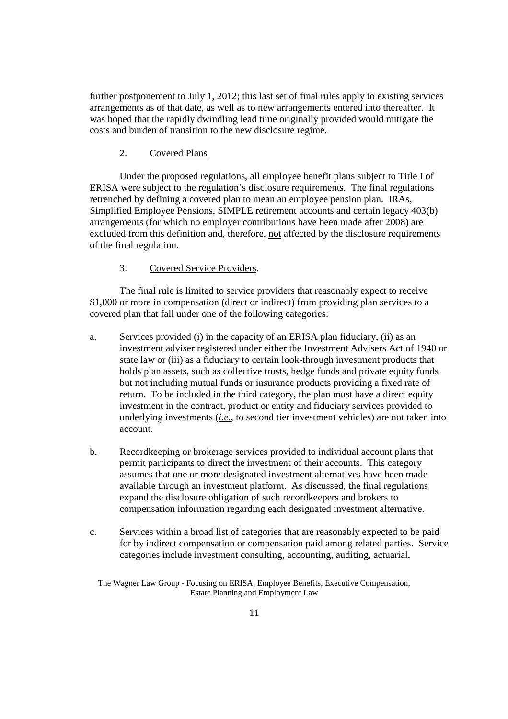further postponement to July 1, 2012; this last set of final rules apply to existing services arrangements as of that date, as well as to new arrangements entered into thereafter. It was hoped that the rapidly dwindling lead time originally provided would mitigate the costs and burden of transition to the new disclosure regime.

#### 2. Covered Plans

Under the proposed regulations, all employee benefit plans subject to Title I of ERISA were subject to the regulation's disclosure requirements. The final regulations retrenched by defining a covered plan to mean an employee pension plan. IRAs, Simplified Employee Pensions, SIMPLE retirement accounts and certain legacy 403(b) arrangements (for which no employer contributions have been made after 2008) are excluded from this definition and, therefore, not affected by the disclosure requirements of the final regulation.

# 3. Covered Service Providers.

The final rule is limited to service providers that reasonably expect to receive \$1,000 or more in compensation (direct or indirect) from providing plan services to a covered plan that fall under one of the following categories:

- a. Services provided (i) in the capacity of an ERISA plan fiduciary, (ii) as an investment adviser registered under either the Investment Advisers Act of 1940 or state law or (iii) as a fiduciary to certain look-through investment products that holds plan assets, such as collective trusts, hedge funds and private equity funds but not including mutual funds or insurance products providing a fixed rate of return. To be included in the third category, the plan must have a direct equity investment in the contract, product or entity and fiduciary services provided to underlying investments (*i.e.*, to second tier investment vehicles) are not taken into account.
- b. Recordkeeping or brokerage services provided to individual account plans that permit participants to direct the investment of their accounts. This category assumes that one or more designated investment alternatives have been made available through an investment platform. As discussed, the final regulations expand the disclosure obligation of such recordkeepers and brokers to compensation information regarding each designated investment alternative.
- c. Services within a broad list of categories that are reasonably expected to be paid for by indirect compensation or compensation paid among related parties. Service categories include investment consulting, accounting, auditing, actuarial,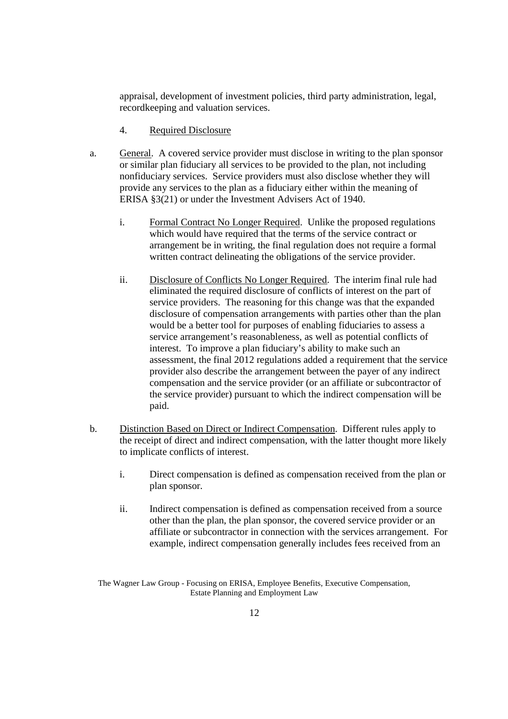appraisal, development of investment policies, third party administration, legal, recordkeeping and valuation services.

- 4. Required Disclosure
- a. General. A covered service provider must disclose in writing to the plan sponsor or similar plan fiduciary all services to be provided to the plan, not including nonfiduciary services. Service providers must also disclose whether they will provide any services to the plan as a fiduciary either within the meaning of ERISA §3(21) or under the Investment Advisers Act of 1940.
	- i. Formal Contract No Longer Required. Unlike the proposed regulations which would have required that the terms of the service contract or arrangement be in writing, the final regulation does not require a formal written contract delineating the obligations of the service provider.
	- ii. Disclosure of Conflicts No Longer Required. The interim final rule had eliminated the required disclosure of conflicts of interest on the part of service providers. The reasoning for this change was that the expanded disclosure of compensation arrangements with parties other than the plan would be a better tool for purposes of enabling fiduciaries to assess a service arrangement's reasonableness, as well as potential conflicts of interest. To improve a plan fiduciary's ability to make such an assessment, the final 2012 regulations added a requirement that the service provider also describe the arrangement between the payer of any indirect compensation and the service provider (or an affiliate or subcontractor of the service provider) pursuant to which the indirect compensation will be paid.
- b. Distinction Based on Direct or Indirect Compensation. Different rules apply to the receipt of direct and indirect compensation, with the latter thought more likely to implicate conflicts of interest.
	- i. Direct compensation is defined as compensation received from the plan or plan sponsor.
	- ii. Indirect compensation is defined as compensation received from a source other than the plan, the plan sponsor, the covered service provider or an affiliate or subcontractor in connection with the services arrangement. For example, indirect compensation generally includes fees received from an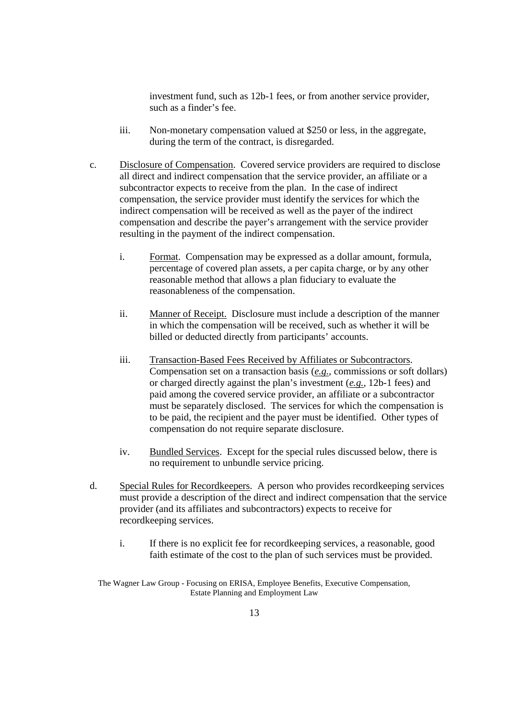investment fund, such as 12b-1 fees, or from another service provider, such as a finder's fee.

- iii. Non-monetary compensation valued at \$250 or less, in the aggregate, during the term of the contract, is disregarded.
- c. Disclosure of Compensation. Covered service providers are required to disclose all direct and indirect compensation that the service provider, an affiliate or a subcontractor expects to receive from the plan. In the case of indirect compensation, the service provider must identify the services for which the indirect compensation will be received as well as the payer of the indirect compensation and describe the payer's arrangement with the service provider resulting in the payment of the indirect compensation.
	- i. Format. Compensation may be expressed as a dollar amount, formula, percentage of covered plan assets, a per capita charge, or by any other reasonable method that allows a plan fiduciary to evaluate the reasonableness of the compensation.
	- ii. Manner of Receipt. Disclosure must include a description of the manner in which the compensation will be received, such as whether it will be billed or deducted directly from participants' accounts.
	- iii. Transaction-Based Fees Received by Affiliates or Subcontractors. Compensation set on a transaction basis (*e.g.*, commissions or soft dollars) or charged directly against the plan's investment (*e.g.*, 12b-1 fees) and paid among the covered service provider, an affiliate or a subcontractor must be separately disclosed. The services for which the compensation is to be paid, the recipient and the payer must be identified. Other types of compensation do not require separate disclosure.
	- iv. Bundled Services. Except for the special rules discussed below, there is no requirement to unbundle service pricing.
- d. Special Rules for Recordkeepers. A person who provides recordkeeping services must provide a description of the direct and indirect compensation that the service provider (and its affiliates and subcontractors) expects to receive for recordkeeping services.
	- i. If there is no explicit fee for recordkeeping services, a reasonable, good faith estimate of the cost to the plan of such services must be provided.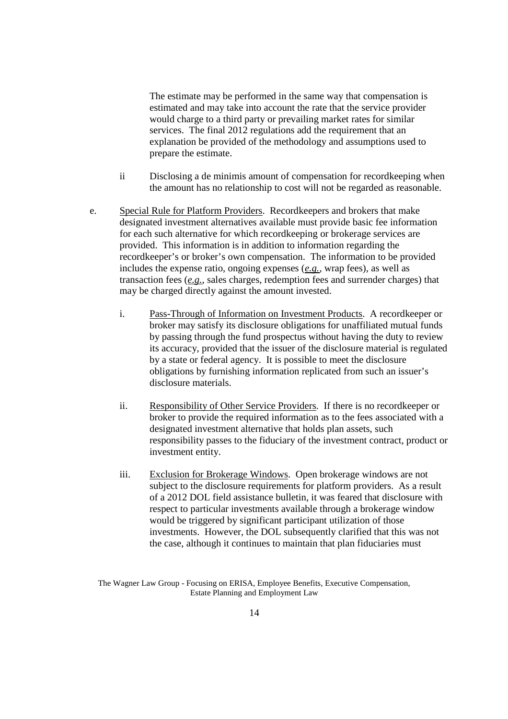The estimate may be performed in the same way that compensation is estimated and may take into account the rate that the service provider would charge to a third party or prevailing market rates for similar services. The final 2012 regulations add the requirement that an explanation be provided of the methodology and assumptions used to prepare the estimate.

- ii Disclosing a de minimis amount of compensation for recordkeeping when the amount has no relationship to cost will not be regarded as reasonable.
- e. Special Rule for Platform Providers. Recordkeepers and brokers that make designated investment alternatives available must provide basic fee information for each such alternative for which recordkeeping or brokerage services are provided. This information is in addition to information regarding the recordkeeper's or broker's own compensation. The information to be provided includes the expense ratio, ongoing expenses (*e.g.*, wrap fees), as well as transaction fees (*e.g.*, sales charges, redemption fees and surrender charges) that may be charged directly against the amount invested.
	- i. Pass-Through of Information on Investment Products. A recordkeeper or broker may satisfy its disclosure obligations for unaffiliated mutual funds by passing through the fund prospectus without having the duty to review its accuracy, provided that the issuer of the disclosure material is regulated by a state or federal agency. It is possible to meet the disclosure obligations by furnishing information replicated from such an issuer's disclosure materials.
	- ii. Responsibility of Other Service Providers. If there is no recordkeeper or broker to provide the required information as to the fees associated with a designated investment alternative that holds plan assets, such responsibility passes to the fiduciary of the investment contract, product or investment entity.
	- iii. Exclusion for Brokerage Windows. Open brokerage windows are not subject to the disclosure requirements for platform providers. As a result of a 2012 DOL field assistance bulletin, it was feared that disclosure with respect to particular investments available through a brokerage window would be triggered by significant participant utilization of those investments. However, the DOL subsequently clarified that this was not the case, although it continues to maintain that plan fiduciaries must

The Wagner Law Group - Focusing on ERISA, Employee Benefits, Executive Compensation, Estate Planning and Employment Law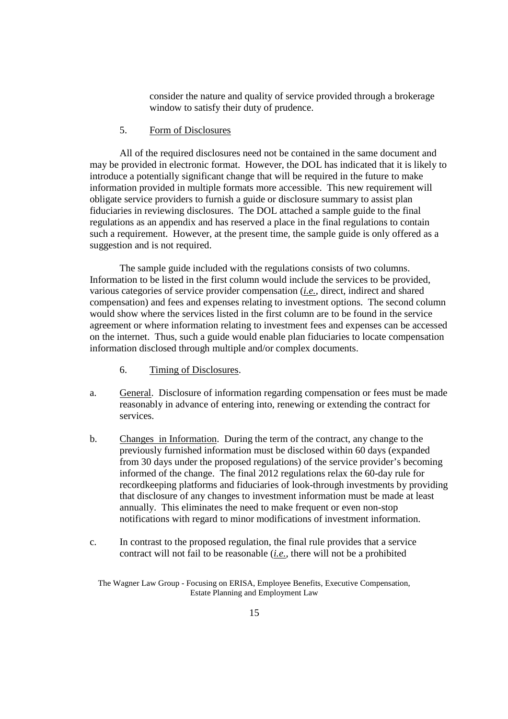consider the nature and quality of service provided through a brokerage window to satisfy their duty of prudence.

5. Form of Disclosures

All of the required disclosures need not be contained in the same document and may be provided in electronic format. However, the DOL has indicated that it is likely to introduce a potentially significant change that will be required in the future to make information provided in multiple formats more accessible. This new requirement will obligate service providers to furnish a guide or disclosure summary to assist plan fiduciaries in reviewing disclosures. The DOL attached a sample guide to the final regulations as an appendix and has reserved a place in the final regulations to contain such a requirement. However, at the present time, the sample guide is only offered as a suggestion and is not required.

The sample guide included with the regulations consists of two columns. Information to be listed in the first column would include the services to be provided, various categories of service provider compensation (*i.e.*, direct, indirect and shared compensation) and fees and expenses relating to investment options. The second column would show where the services listed in the first column are to be found in the service agreement or where information relating to investment fees and expenses can be accessed on the internet. Thus, such a guide would enable plan fiduciaries to locate compensation information disclosed through multiple and/or complex documents.

- 6. Timing of Disclosures.
- a. General. Disclosure of information regarding compensation or fees must be made reasonably in advance of entering into, renewing or extending the contract for services.
- b. Changes in Information. During the term of the contract, any change to the previously furnished information must be disclosed within 60 days (expanded from 30 days under the proposed regulations) of the service provider's becoming informed of the change. The final 2012 regulations relax the 60-day rule for recordkeeping platforms and fiduciaries of look-through investments by providing that disclosure of any changes to investment information must be made at least annually. This eliminates the need to make frequent or even non-stop notifications with regard to minor modifications of investment information.
- c. In contrast to the proposed regulation, the final rule provides that a service contract will not fail to be reasonable (*i.e.*, there will not be a prohibited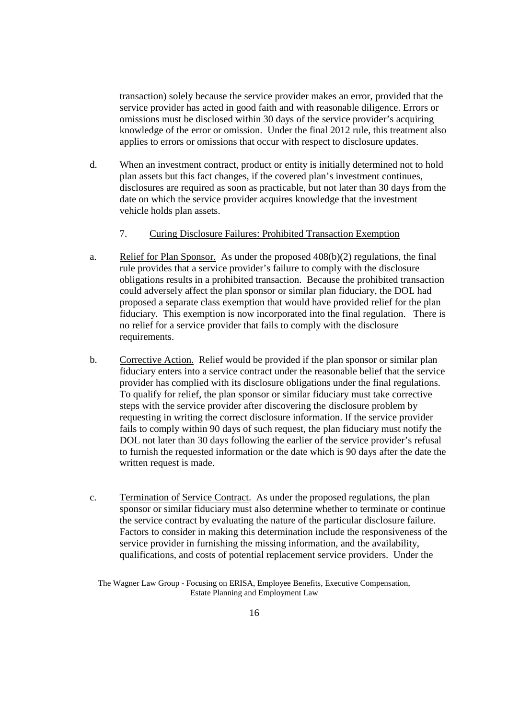transaction) solely because the service provider makes an error, provided that the service provider has acted in good faith and with reasonable diligence. Errors or omissions must be disclosed within 30 days of the service provider's acquiring knowledge of the error or omission. Under the final 2012 rule, this treatment also applies to errors or omissions that occur with respect to disclosure updates.

d. When an investment contract, product or entity is initially determined not to hold plan assets but this fact changes, if the covered plan's investment continues, disclosures are required as soon as practicable, but not later than 30 days from the date on which the service provider acquires knowledge that the investment vehicle holds plan assets.

#### 7. Curing Disclosure Failures: Prohibited Transaction Exemption

- a. Relief for Plan Sponsor. As under the proposed 408(b)(2) regulations, the final rule provides that a service provider's failure to comply with the disclosure obligations results in a prohibited transaction. Because the prohibited transaction could adversely affect the plan sponsor or similar plan fiduciary, the DOL had proposed a separate class exemption that would have provided relief for the plan fiduciary. This exemption is now incorporated into the final regulation. There is no relief for a service provider that fails to comply with the disclosure requirements.
- b. Corrective Action. Relief would be provided if the plan sponsor or similar plan fiduciary enters into a service contract under the reasonable belief that the service provider has complied with its disclosure obligations under the final regulations. To qualify for relief, the plan sponsor or similar fiduciary must take corrective steps with the service provider after discovering the disclosure problem by requesting in writing the correct disclosure information. If the service provider fails to comply within 90 days of such request, the plan fiduciary must notify the DOL not later than 30 days following the earlier of the service provider's refusal to furnish the requested information or the date which is 90 days after the date the written request is made.
- c. Termination of Service Contract. As under the proposed regulations, the plan sponsor or similar fiduciary must also determine whether to terminate or continue the service contract by evaluating the nature of the particular disclosure failure. Factors to consider in making this determination include the responsiveness of the service provider in furnishing the missing information, and the availability, qualifications, and costs of potential replacement service providers. Under the

The Wagner Law Group - Focusing on ERISA, Employee Benefits, Executive Compensation, Estate Planning and Employment Law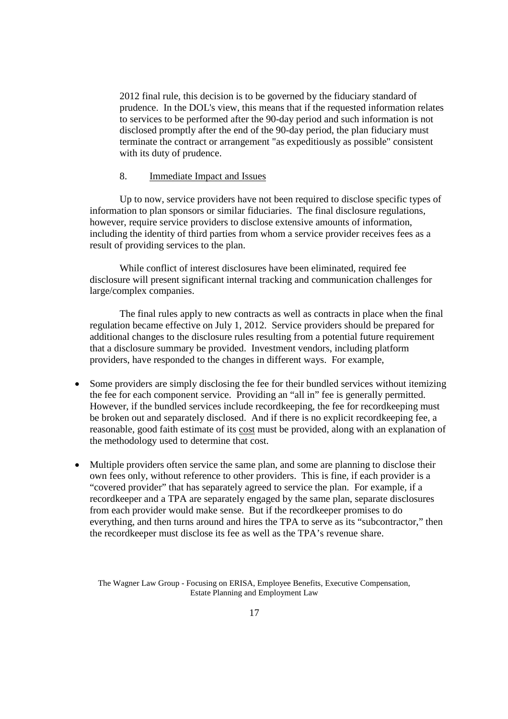2012 final rule, this decision is to be governed by the fiduciary standard of prudence. In the DOL's view, this means that if the requested information relates to services to be performed after the 90-day period and such information is not disclosed promptly after the end of the 90-day period, the plan fiduciary must terminate the contract or arrangement "as expeditiously as possible" consistent with its duty of prudence.

#### 8. Immediate Impact and Issues

Up to now, service providers have not been required to disclose specific types of information to plan sponsors or similar fiduciaries. The final disclosure regulations, however, require service providers to disclose extensive amounts of information, including the identity of third parties from whom a service provider receives fees as a result of providing services to the plan.

While conflict of interest disclosures have been eliminated, required fee disclosure will present significant internal tracking and communication challenges for large/complex companies.

The final rules apply to new contracts as well as contracts in place when the final regulation became effective on July 1, 2012. Service providers should be prepared for additional changes to the disclosure rules resulting from a potential future requirement that a disclosure summary be provided. Investment vendors, including platform providers, have responded to the changes in different ways. For example,

- Some providers are simply disclosing the fee for their bundled services without itemizing the fee for each component service. Providing an "all in" fee is generally permitted. However, if the bundled services include recordkeeping, the fee for recordkeeping must be broken out and separately disclosed. And if there is no explicit recordkeeping fee, a reasonable, good faith estimate of its cost must be provided, along with an explanation of the methodology used to determine that cost.
- Multiple providers often service the same plan, and some are planning to disclose their own fees only, without reference to other providers. This is fine, if each provider is a "covered provider" that has separately agreed to service the plan. For example, if a recordkeeper and a TPA are separately engaged by the same plan, separate disclosures from each provider would make sense. But if the recordkeeper promises to do everything, and then turns around and hires the TPA to serve as its "subcontractor," then the recordkeeper must disclose its fee as well as the TPA's revenue share.

The Wagner Law Group - Focusing on ERISA, Employee Benefits, Executive Compensation, Estate Planning and Employment Law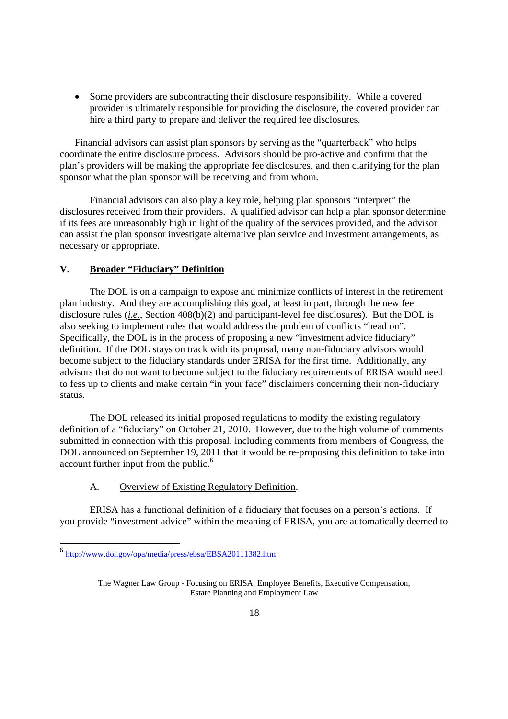Some providers are subcontracting their disclosure responsibility. While a covered provider is ultimately responsible for providing the disclosure, the covered provider can hire a third party to prepare and deliver the required fee disclosures.

Financial advisors can assist plan sponsors by serving as the "quarterback" who helps coordinate the entire disclosure process. Advisors should be pro-active and confirm that the plan's providers will be making the appropriate fee disclosures, and then clarifying for the plan sponsor what the plan sponsor will be receiving and from whom.

Financial advisors can also play a key role, helping plan sponsors "interpret" the disclosures received from their providers. A qualified advisor can help a plan sponsor determine if its fees are unreasonably high in light of the quality of the services provided, and the advisor can assist the plan sponsor investigate alternative plan service and investment arrangements, as necessary or appropriate.

# **V. Broader "Fiduciary" Definition**

The DOL is on a campaign to expose and minimize conflicts of interest in the retirement plan industry. And they are accomplishing this goal, at least in part, through the new fee disclosure rules (*i.e.*, Section 408(b)(2) and participant-level fee disclosures). But the DOL is also seeking to implement rules that would address the problem of conflicts "head on". Specifically, the DOL is in the process of proposing a new "investment advice fiduciary" definition. If the DOL stays on track with its proposal, many non-fiduciary advisors would become subject to the fiduciary standards under ERISA for the first time. Additionally, any advisors that do not want to become subject to the fiduciary requirements of ERISA would need to fess up to clients and make certain "in your face" disclaimers concerning their non-fiduciary status.

The DOL released its initial proposed regulations to modify the existing regulatory definition of a "fiduciary" on October 21, 2010. However, due to the high volume of comments submitted in connection with this proposal, including comments from members of Congress, the DOL announced on September 19, 2011 that it would be re-proposing this definition to take into account further input from the public.<sup>6</sup>

#### A. Overview of Existing Regulatory Definition.

ERISA has a functional definition of a fiduciary that focuses on a person's actions. If you provide "investment advice" within the meaning of ERISA, you are automatically deemed to

<sup>6</sup> http://www.dol.gov/opa/media/press/ebsa/EBSA20111382.htm.

The Wagner Law Group - Focusing on ERISA, Employee Benefits, Executive Compensation, Estate Planning and Employment Law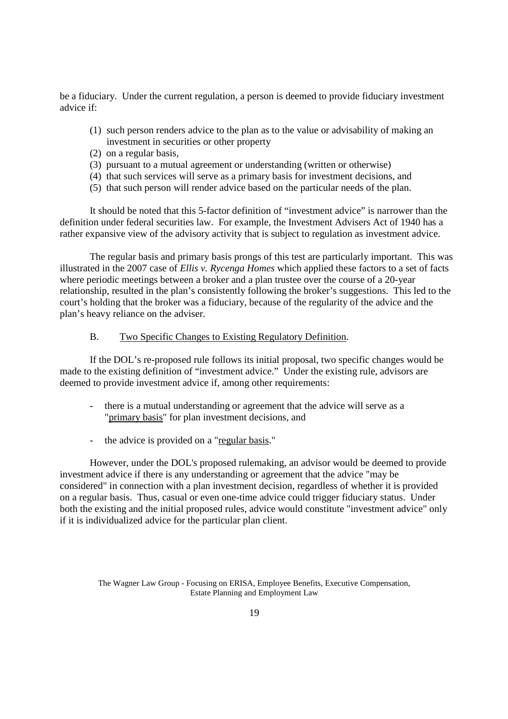be a fiduciary. Under the current regulation, a person is deemed to provide fiduciary investment advice if:

- (1) such person renders advice to the plan as to the value or advisability of making an investment in securities or other property
- (2) on a regular basis,
- (3) pursuant to a mutual agreement or understanding (written or otherwise)
- (4) that such services will serve as a primary basis for investment decisions, and
- (5) that such person will render advice based on the particular needs of the plan.

It should be noted that this 5-factor definition of "investment advice" is narrower than the definition under federal securities law. For example, the Investment Advisers Act of 1940 has a rather expansive view of the advisory activity that is subject to regulation as investment advice.

The regular basis and primary basis prongs of this test are particularly important. This was illustrated in the 2007 case of *Ellis v. Rycenga Homes* which applied these factors to a set of facts where periodic meetings between a broker and a plan trustee over the course of a 20-year relationship, resulted in the plan's consistently following the broker's suggestions. This led to the court's holding that the broker was a fiduciary, because of the regularity of the advice and the plan's heavy reliance on the adviser.

#### B. Two Specific Changes to Existing Regulatory Definition.

If the DOL's re-proposed rule follows its initial proposal, two specific changes would be made to the existing definition of "investment advice." Under the existing rule, advisors are deemed to provide investment advice if, among other requirements:

- there is a mutual understanding or agreement that the advice will serve as a "primary basis" for plan investment decisions, and
- the advice is provided on a "regular basis."

However, under the DOL's proposed rulemaking, an advisor would be deemed to provide investment advice if there is any understanding or agreement that the advice "may be considered" in connection with a plan investment decision, regardless of whether it is provided on a regular basis. Thus, casual or even one-time advice could trigger fiduciary status. Under both the existing and the initial proposed rules, advice would constitute "investment advice" only if it is individualized advice for the particular plan client.

The Wagner Law Group - Focusing on ERISA, Employee Benefits, Executive Compensation, Estate Planning and Employment Law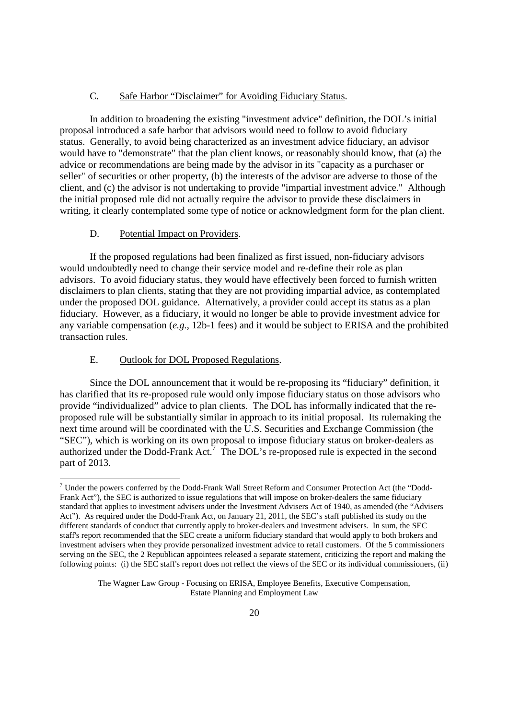#### C. Safe Harbor "Disclaimer" for Avoiding Fiduciary Status.

In addition to broadening the existing "investment advice" definition, the DOL's initial proposal introduced a safe harbor that advisors would need to follow to avoid fiduciary status. Generally, to avoid being characterized as an investment advice fiduciary, an advisor would have to "demonstrate" that the plan client knows, or reasonably should know, that (a) the advice or recommendations are being made by the advisor in its "capacity as a purchaser or seller" of securities or other property, (b) the interests of the advisor are adverse to those of the client, and (c) the advisor is not undertaking to provide "impartial investment advice." Although the initial proposed rule did not actually require the advisor to provide these disclaimers in writing, it clearly contemplated some type of notice or acknowledgment form for the plan client.

## D. Potential Impact on Providers.

If the proposed regulations had been finalized as first issued, non-fiduciary advisors would undoubtedly need to change their service model and re-define their role as plan advisors. To avoid fiduciary status, they would have effectively been forced to furnish written disclaimers to plan clients, stating that they are not providing impartial advice, as contemplated under the proposed DOL guidance. Alternatively, a provider could accept its status as a plan fiduciary. However, as a fiduciary, it would no longer be able to provide investment advice for any variable compensation (*e.g.*, 12b-1 fees) and it would be subject to ERISA and the prohibited transaction rules.

#### E. Outlook for DOL Proposed Regulations.

Since the DOL announcement that it would be re-proposing its "fiduciary" definition, it has clarified that its re-proposed rule would only impose fiduciary status on those advisors who provide "individualized" advice to plan clients. The DOL has informally indicated that the reproposed rule will be substantially similar in approach to its initial proposal. Its rulemaking the next time around will be coordinated with the U.S. Securities and Exchange Commission (the "SEC"), which is working on its own proposal to impose fiduciary status on broker-dealers as authorized under the Dodd-Frank Act.<sup>7</sup> The DOL's re-proposed rule is expected in the second part of 2013.

<sup>7</sup> Under the powers conferred by the Dodd-Frank Wall Street Reform and Consumer Protection Act (the "Dodd-Frank Act"), the SEC is authorized to issue regulations that will impose on broker-dealers the same fiduciary standard that applies to investment advisers under the Investment Advisers Act of 1940, as amended (the "Advisers Act"). As required under the Dodd-Frank Act, on January 21, 2011, the SEC's staff published its study on the different standards of conduct that currently apply to broker-dealers and investment advisers. In sum, the SEC staff's report recommended that the SEC create a uniform fiduciary standard that would apply to both brokers and investment advisers when they provide personalized investment advice to retail customers. Of the 5 commissioners serving on the SEC, the 2 Republican appointees released a separate statement, criticizing the report and making the following points: (i) the SEC staff's report does not reflect the views of the SEC or its individual commissioners, (ii)

The Wagner Law Group - Focusing on ERISA, Employee Benefits, Executive Compensation, Estate Planning and Employment Law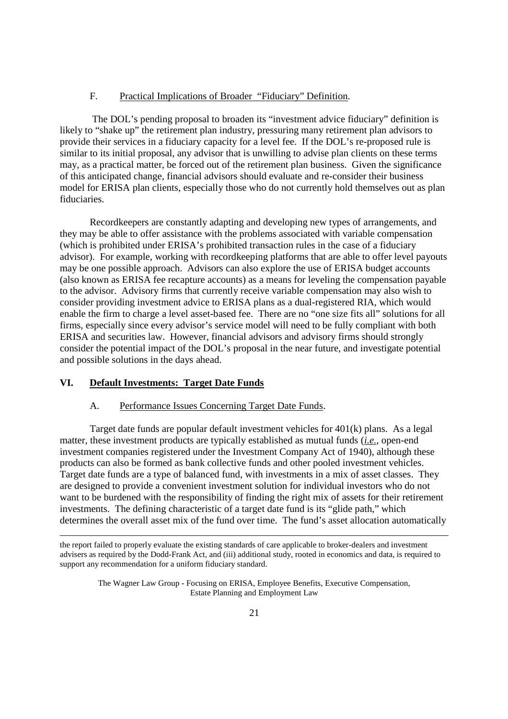#### F. Practical Implications of Broader "Fiduciary" Definition.

The DOL's pending proposal to broaden its "investment advice fiduciary" definition is likely to "shake up" the retirement plan industry, pressuring many retirement plan advisors to provide their services in a fiduciary capacity for a level fee. If the DOL's re-proposed rule is similar to its initial proposal, any advisor that is unwilling to advise plan clients on these terms may, as a practical matter, be forced out of the retirement plan business. Given the significance of this anticipated change, financial advisors should evaluate and re-consider their business model for ERISA plan clients, especially those who do not currently hold themselves out as plan fiduciaries.

Recordkeepers are constantly adapting and developing new types of arrangements, and they may be able to offer assistance with the problems associated with variable compensation (which is prohibited under ERISA's prohibited transaction rules in the case of a fiduciary advisor). For example, working with recordkeeping platforms that are able to offer level payouts may be one possible approach. Advisors can also explore the use of ERISA budget accounts (also known as ERISA fee recapture accounts) as a means for leveling the compensation payable to the advisor. Advisory firms that currently receive variable compensation may also wish to consider providing investment advice to ERISA plans as a dual-registered RIA, which would enable the firm to charge a level asset-based fee. There are no "one size fits all" solutions for all firms, especially since every advisor's service model will need to be fully compliant with both ERISA and securities law. However, financial advisors and advisory firms should strongly consider the potential impact of the DOL's proposal in the near future, and investigate potential and possible solutions in the days ahead.

#### **VI. Default Investments: Target Date Funds**

#### A. Performance Issues Concerning Target Date Funds.

Target date funds are popular default investment vehicles for 401(k) plans. As a legal matter, these investment products are typically established as mutual funds (*i.e.*, open-end investment companies registered under the Investment Company Act of 1940), although these products can also be formed as bank collective funds and other pooled investment vehicles. Target date funds are a type of balanced fund, with investments in a mix of asset classes. They are designed to provide a convenient investment solution for individual investors who do not want to be burdened with the responsibility of finding the right mix of assets for their retirement investments. The defining characteristic of a target date fund is its "glide path," which determines the overall asset mix of the fund over time. The fund's asset allocation automatically

the report failed to properly evaluate the existing standards of care applicable to broker-dealers and investment advisers as required by the Dodd-Frank Act, and (iii) additional study, rooted in economics and data, is required to support any recommendation for a uniform fiduciary standard.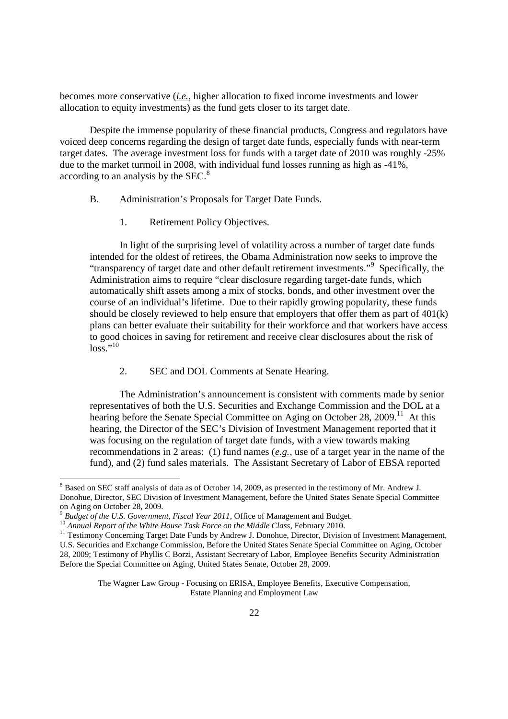becomes more conservative (*i.e.*, higher allocation to fixed income investments and lower allocation to equity investments) as the fund gets closer to its target date.

Despite the immense popularity of these financial products, Congress and regulators have voiced deep concerns regarding the design of target date funds, especially funds with near-term target dates. The average investment loss for funds with a target date of 2010 was roughly -25% due to the market turmoil in 2008, with individual fund losses running as high as -41%, according to an analysis by the SEC.<sup>8</sup>

#### B. Administration's Proposals for Target Date Funds.

#### 1. Retirement Policy Objectives.

In light of the surprising level of volatility across a number of target date funds intended for the oldest of retirees, the Obama Administration now seeks to improve the "transparency of target date and other default retirement investments."<sup>9</sup> Specifically, the Administration aims to require "clear disclosure regarding target-date funds, which automatically shift assets among a mix of stocks, bonds, and other investment over the course of an individual's lifetime. Due to their rapidly growing popularity, these funds should be closely reviewed to help ensure that employers that offer them as part of 401(k) plans can better evaluate their suitability for their workforce and that workers have access to good choices in saving for retirement and receive clear disclosures about the risk of  $\log$ <sup>10</sup>

# 2. SEC and DOL Comments at Senate Hearing.

The Administration's announcement is consistent with comments made by senior representatives of both the U.S. Securities and Exchange Commission and the DOL at a hearing before the Senate Special Committee on Aging on October 28, 2009.<sup>11</sup> At this hearing, the Director of the SEC's Division of Investment Management reported that it was focusing on the regulation of target date funds, with a view towards making recommendations in 2 areas: (1) fund names (*e.g.*, use of a target year in the name of the fund), and (2) fund sales materials. The Assistant Secretary of Labor of EBSA reported

<sup>8</sup> Based on SEC staff analysis of data as of October 14, 2009, as presented in the testimony of Mr. Andrew J. Donohue, Director, SEC Division of Investment Management, before the United States Senate Special Committee on Aging on October 28, 2009.

<sup>9</sup> *Budget of the U.S. Government, Fiscal Year 2011,* Office of Management and Budget.

<sup>10</sup> *Annual Report of the White House Task Force on the Middle Class*, February 2010.

<sup>&</sup>lt;sup>11</sup> Testimony Concerning Target Date Funds by Andrew J. Donohue, Director, Division of Investment Management, U.S. Securities and Exchange Commission, Before the United States Senate Special Committee on Aging, October 28, 2009; Testimony of Phyllis C Borzi, Assistant Secretary of Labor, Employee Benefits Security Administration Before the Special Committee on Aging, United States Senate, October 28, 2009.

The Wagner Law Group - Focusing on ERISA, Employee Benefits, Executive Compensation, Estate Planning and Employment Law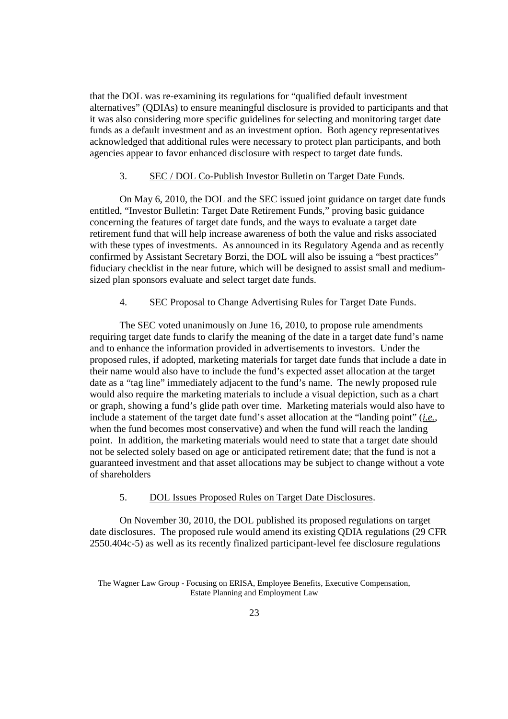that the DOL was re-examining its regulations for "qualified default investment alternatives" (QDIAs) to ensure meaningful disclosure is provided to participants and that it was also considering more specific guidelines for selecting and monitoring target date funds as a default investment and as an investment option. Both agency representatives acknowledged that additional rules were necessary to protect plan participants, and both agencies appear to favor enhanced disclosure with respect to target date funds.

#### 3. SEC / DOL Co-Publish Investor Bulletin on Target Date Funds.

On May 6, 2010, the DOL and the SEC issued joint guidance on target date funds entitled, "Investor Bulletin: Target Date Retirement Funds," proving basic guidance concerning the features of target date funds, and the ways to evaluate a target date retirement fund that will help increase awareness of both the value and risks associated with these types of investments. As announced in its Regulatory Agenda and as recently confirmed by Assistant Secretary Borzi, the DOL will also be issuing a "best practices" fiduciary checklist in the near future, which will be designed to assist small and mediumsized plan sponsors evaluate and select target date funds.

# 4. SEC Proposal to Change Advertising Rules for Target Date Funds.

The SEC voted unanimously on June 16, 2010, to propose rule amendments requiring target date funds to clarify the meaning of the date in a target date fund's name and to enhance the information provided in advertisements to investors. Under the proposed rules, if adopted, marketing materials for target date funds that include a date in their name would also have to include the fund's expected asset allocation at the target date as a "tag line" immediately adjacent to the fund's name. The newly proposed rule would also require the marketing materials to include a visual depiction, such as a chart or graph, showing a fund's glide path over time. Marketing materials would also have to include a statement of the target date fund's asset allocation at the "landing point" (*i.e.*, when the fund becomes most conservative) and when the fund will reach the landing point. In addition, the marketing materials would need to state that a target date should not be selected solely based on age or anticipated retirement date; that the fund is not a guaranteed investment and that asset allocations may be subject to change without a vote of shareholders

#### 5. DOL Issues Proposed Rules on Target Date Disclosures.

On November 30, 2010, the DOL published its proposed regulations on target date disclosures. The proposed rule would amend its existing QDIA regulations (29 CFR 2550.404c-5) as well as its recently finalized participant-level fee disclosure regulations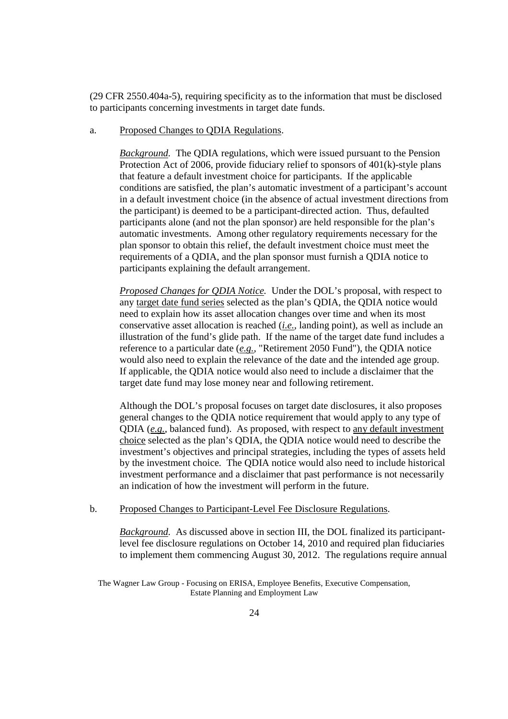(29 CFR 2550.404a-5), requiring specificity as to the information that must be disclosed to participants concerning investments in target date funds.

#### a. Proposed Changes to QDIA Regulations.

*Background.* The QDIA regulations, which were issued pursuant to the Pension Protection Act of 2006, provide fiduciary relief to sponsors of 401(k)-style plans that feature a default investment choice for participants. If the applicable conditions are satisfied, the plan's automatic investment of a participant's account in a default investment choice (in the absence of actual investment directions from the participant) is deemed to be a participant-directed action. Thus, defaulted participants alone (and not the plan sponsor) are held responsible for the plan's automatic investments. Among other regulatory requirements necessary for the plan sponsor to obtain this relief, the default investment choice must meet the requirements of a QDIA, and the plan sponsor must furnish a QDIA notice to participants explaining the default arrangement.

*Proposed Changes for QDIA Notice.* Under the DOL's proposal, with respect to any target date fund series selected as the plan's QDIA, the QDIA notice would need to explain how its asset allocation changes over time and when its most conservative asset allocation is reached (*i.e.*, landing point), as well as include an illustration of the fund's glide path. If the name of the target date fund includes a reference to a particular date (*e.g.*, "Retirement 2050 Fund"), the QDIA notice would also need to explain the relevance of the date and the intended age group. If applicable, the QDIA notice would also need to include a disclaimer that the target date fund may lose money near and following retirement.

Although the DOL's proposal focuses on target date disclosures, it also proposes general changes to the QDIA notice requirement that would apply to any type of QDIA (*e.g.*, balanced fund). As proposed, with respect to any default investment choice selected as the plan's QDIA, the QDIA notice would need to describe the investment's objectives and principal strategies, including the types of assets held by the investment choice. The QDIA notice would also need to include historical investment performance and a disclaimer that past performance is not necessarily an indication of how the investment will perform in the future.

b. Proposed Changes to Participant-Level Fee Disclosure Regulations.

*Background.* As discussed above in section III, the DOL finalized its participantlevel fee disclosure regulations on October 14, 2010 and required plan fiduciaries to implement them commencing August 30, 2012. The regulations require annual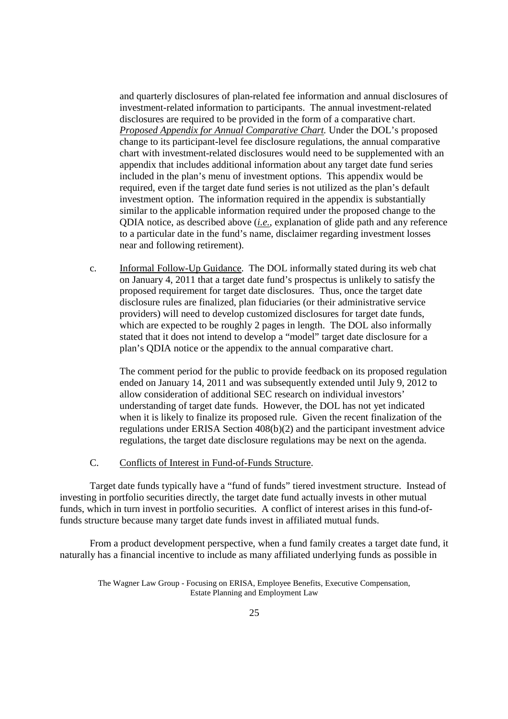and quarterly disclosures of plan-related fee information and annual disclosures of investment-related information to participants. The annual investment-related disclosures are required to be provided in the form of a comparative chart. *Proposed Appendix for Annual Comparative Chart.* Under the DOL's proposed change to its participant-level fee disclosure regulations, the annual comparative chart with investment-related disclosures would need to be supplemented with an appendix that includes additional information about any target date fund series included in the plan's menu of investment options. This appendix would be required, even if the target date fund series is not utilized as the plan's default investment option. The information required in the appendix is substantially similar to the applicable information required under the proposed change to the QDIA notice, as described above (*i.e.*, explanation of glide path and any reference to a particular date in the fund's name, disclaimer regarding investment losses near and following retirement).

c. Informal Follow-Up Guidance. The DOL informally stated during its web chat on January 4, 2011 that a target date fund's prospectus is unlikely to satisfy the proposed requirement for target date disclosures. Thus, once the target date disclosure rules are finalized, plan fiduciaries (or their administrative service providers) will need to develop customized disclosures for target date funds, which are expected to be roughly 2 pages in length. The DOL also informally stated that it does not intend to develop a "model" target date disclosure for a plan's QDIA notice or the appendix to the annual comparative chart.

The comment period for the public to provide feedback on its proposed regulation ended on January 14, 2011 and was subsequently extended until July 9, 2012 to allow consideration of additional SEC research on individual investors' understanding of target date funds. However, the DOL has not yet indicated when it is likely to finalize its proposed rule. Given the recent finalization of the regulations under ERISA Section 408(b)(2) and the participant investment advice regulations, the target date disclosure regulations may be next on the agenda.

C. Conflicts of Interest in Fund-of-Funds Structure.

Target date funds typically have a "fund of funds" tiered investment structure. Instead of investing in portfolio securities directly, the target date fund actually invests in other mutual funds, which in turn invest in portfolio securities. A conflict of interest arises in this fund-offunds structure because many target date funds invest in affiliated mutual funds.

From a product development perspective, when a fund family creates a target date fund, it naturally has a financial incentive to include as many affiliated underlying funds as possible in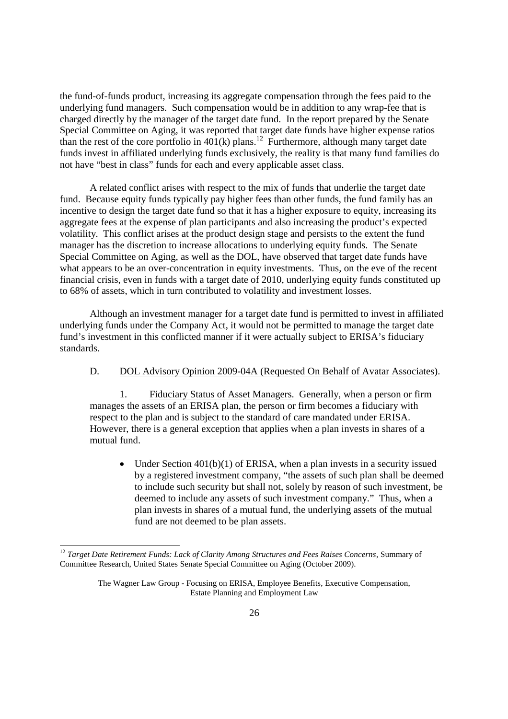the fund-of-funds product, increasing its aggregate compensation through the fees paid to the underlying fund managers. Such compensation would be in addition to any wrap-fee that is charged directly by the manager of the target date fund. In the report prepared by the Senate Special Committee on Aging, it was reported that target date funds have higher expense ratios than the rest of the core portfolio in  $401(k)$  plans.<sup>12</sup> Furthermore, although many target date funds invest in affiliated underlying funds exclusively, the reality is that many fund families do not have "best in class" funds for each and every applicable asset class.

A related conflict arises with respect to the mix of funds that underlie the target date fund. Because equity funds typically pay higher fees than other funds, the fund family has an incentive to design the target date fund so that it has a higher exposure to equity, increasing its aggregate fees at the expense of plan participants and also increasing the product's expected volatility. This conflict arises at the product design stage and persists to the extent the fund manager has the discretion to increase allocations to underlying equity funds. The Senate Special Committee on Aging, as well as the DOL, have observed that target date funds have what appears to be an over-concentration in equity investments. Thus, on the eve of the recent financial crisis, even in funds with a target date of 2010, underlying equity funds constituted up to 68% of assets, which in turn contributed to volatility and investment losses.

Although an investment manager for a target date fund is permitted to invest in affiliated underlying funds under the Company Act, it would not be permitted to manage the target date fund's investment in this conflicted manner if it were actually subject to ERISA's fiduciary standards.

D. DOL Advisory Opinion 2009-04A (Requested On Behalf of Avatar Associates).

1. Fiduciary Status of Asset Managers. Generally, when a person or firm manages the assets of an ERISA plan, the person or firm becomes a fiduciary with respect to the plan and is subject to the standard of care mandated under ERISA. However, there is a general exception that applies when a plan invests in shares of a mutual fund.

• Under Section  $401(b)(1)$  of ERISA, when a plan invests in a security issued by a registered investment company, "the assets of such plan shall be deemed to include such security but shall not, solely by reason of such investment, be deemed to include any assets of such investment company." Thus, when a plan invests in shares of a mutual fund, the underlying assets of the mutual fund are not deemed to be plan assets.

<sup>12</sup> *Target Date Retirement Funds: Lack of Clarity Among Structures and Fees Raises Concerns*, Summary of Committee Research, United States Senate Special Committee on Aging (October 2009).

The Wagner Law Group - Focusing on ERISA, Employee Benefits, Executive Compensation, Estate Planning and Employment Law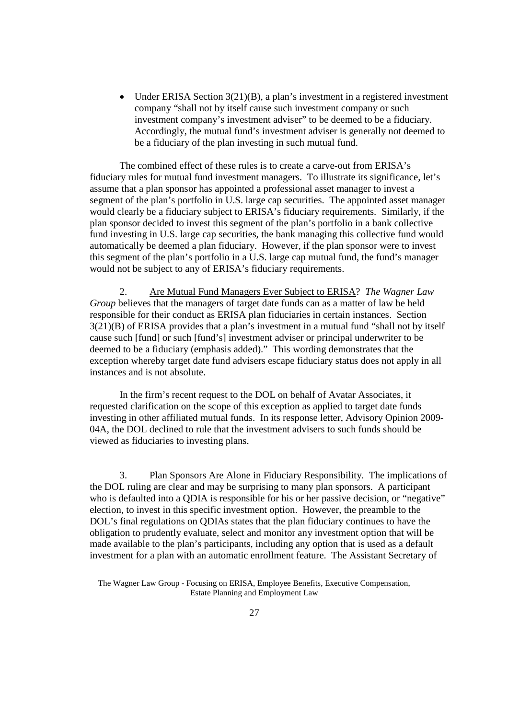Under ERISA Section  $3(21)(B)$ , a plan's investment in a registered investment company "shall not by itself cause such investment company or such investment company's investment adviser" to be deemed to be a fiduciary. Accordingly, the mutual fund's investment adviser is generally not deemed to be a fiduciary of the plan investing in such mutual fund.

The combined effect of these rules is to create a carve-out from ERISA's fiduciary rules for mutual fund investment managers. To illustrate its significance, let's assume that a plan sponsor has appointed a professional asset manager to invest a segment of the plan's portfolio in U.S. large cap securities. The appointed asset manager would clearly be a fiduciary subject to ERISA's fiduciary requirements. Similarly, if the plan sponsor decided to invest this segment of the plan's portfolio in a bank collective fund investing in U.S. large cap securities, the bank managing this collective fund would automatically be deemed a plan fiduciary. However, if the plan sponsor were to invest this segment of the plan's portfolio in a U.S. large cap mutual fund, the fund's manager would not be subject to any of ERISA's fiduciary requirements.

2. Are Mutual Fund Managers Ever Subject to ERISA? *The Wagner Law Group* believes that the managers of target date funds can as a matter of law be held responsible for their conduct as ERISA plan fiduciaries in certain instances. Section 3(21)(B) of ERISA provides that a plan's investment in a mutual fund "shall not by itself cause such [fund] or such [fund's] investment adviser or principal underwriter to be deemed to be a fiduciary (emphasis added)." This wording demonstrates that the exception whereby target date fund advisers escape fiduciary status does not apply in all instances and is not absolute.

In the firm's recent request to the DOL on behalf of Avatar Associates, it requested clarification on the scope of this exception as applied to target date funds investing in other affiliated mutual funds. In its response letter, Advisory Opinion 2009- 04A, the DOL declined to rule that the investment advisers to such funds should be viewed as fiduciaries to investing plans.

3. Plan Sponsors Are Alone in Fiduciary Responsibility. The implications of the DOL ruling are clear and may be surprising to many plan sponsors. A participant who is defaulted into a QDIA is responsible for his or her passive decision, or "negative" election, to invest in this specific investment option. However, the preamble to the DOL's final regulations on QDIAs states that the plan fiduciary continues to have the obligation to prudently evaluate, select and monitor any investment option that will be made available to the plan's participants, including any option that is used as a default investment for a plan with an automatic enrollment feature. The Assistant Secretary of

The Wagner Law Group - Focusing on ERISA, Employee Benefits, Executive Compensation, Estate Planning and Employment Law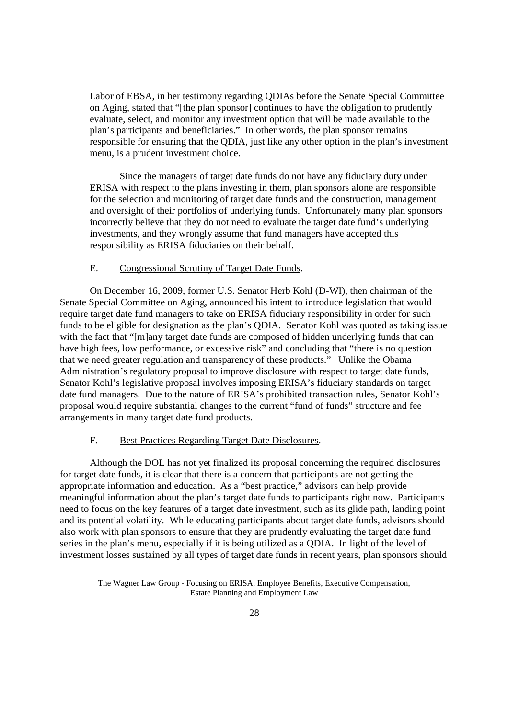Labor of EBSA, in her testimony regarding QDIAs before the Senate Special Committee on Aging, stated that "[the plan sponsor] continues to have the obligation to prudently evaluate, select, and monitor any investment option that will be made available to the plan's participants and beneficiaries." In other words, the plan sponsor remains responsible for ensuring that the QDIA, just like any other option in the plan's investment menu, is a prudent investment choice.

Since the managers of target date funds do not have any fiduciary duty under ERISA with respect to the plans investing in them, plan sponsors alone are responsible for the selection and monitoring of target date funds and the construction, management and oversight of their portfolios of underlying funds. Unfortunately many plan sponsors incorrectly believe that they do not need to evaluate the target date fund's underlying investments, and they wrongly assume that fund managers have accepted this responsibility as ERISA fiduciaries on their behalf.

# E. Congressional Scrutiny of Target Date Funds.

On December 16, 2009, former U.S. Senator Herb Kohl (D-WI), then chairman of the Senate Special Committee on Aging, announced his intent to introduce legislation that would require target date fund managers to take on ERISA fiduciary responsibility in order for such funds to be eligible for designation as the plan's QDIA. Senator Kohl was quoted as taking issue with the fact that "[m]any target date funds are composed of hidden underlying funds that can have high fees, low performance, or excessive risk" and concluding that "there is no question that we need greater regulation and transparency of these products." Unlike the Obama Administration's regulatory proposal to improve disclosure with respect to target date funds, Senator Kohl's legislative proposal involves imposing ERISA's fiduciary standards on target date fund managers. Due to the nature of ERISA's prohibited transaction rules, Senator Kohl's proposal would require substantial changes to the current "fund of funds" structure and fee arrangements in many target date fund products.

# F. Best Practices Regarding Target Date Disclosures.

Although the DOL has not yet finalized its proposal concerning the required disclosures for target date funds, it is clear that there is a concern that participants are not getting the appropriate information and education. As a "best practice," advisors can help provide meaningful information about the plan's target date funds to participants right now. Participants need to focus on the key features of a target date investment, such as its glide path, landing point and its potential volatility. While educating participants about target date funds, advisors should also work with plan sponsors to ensure that they are prudently evaluating the target date fund series in the plan's menu, especially if it is being utilized as a QDIA. In light of the level of investment losses sustained by all types of target date funds in recent years, plan sponsors should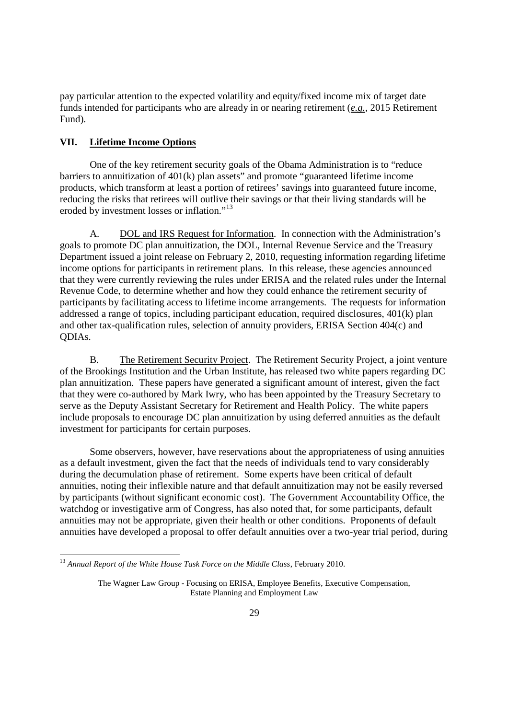pay particular attention to the expected volatility and equity/fixed income mix of target date funds intended for participants who are already in or nearing retirement (*e.g.*, 2015 Retirement Fund).

# **VII. Lifetime Income Options**

One of the key retirement security goals of the Obama Administration is to "reduce barriers to annuitization of 401(k) plan assets" and promote "guaranteed lifetime income products, which transform at least a portion of retirees' savings into guaranteed future income, reducing the risks that retirees will outlive their savings or that their living standards will be eroded by investment losses or inflation."<sup>13</sup>

A. DOL and IRS Request for Information. In connection with the Administration's goals to promote DC plan annuitization, the DOL, Internal Revenue Service and the Treasury Department issued a joint release on February 2, 2010, requesting information regarding lifetime income options for participants in retirement plans. In this release, these agencies announced that they were currently reviewing the rules under ERISA and the related rules under the Internal Revenue Code, to determine whether and how they could enhance the retirement security of participants by facilitating access to lifetime income arrangements. The requests for information addressed a range of topics, including participant education, required disclosures, 401(k) plan and other tax-qualification rules, selection of annuity providers, ERISA Section 404(c) and QDIAs.

B. The Retirement Security Project. The Retirement Security Project, a joint venture of the Brookings Institution and the Urban Institute, has released two white papers regarding DC plan annuitization. These papers have generated a significant amount of interest, given the fact that they were co-authored by Mark Iwry, who has been appointed by the Treasury Secretary to serve as the Deputy Assistant Secretary for Retirement and Health Policy. The white papers include proposals to encourage DC plan annuitization by using deferred annuities as the default investment for participants for certain purposes.

Some observers, however, have reservations about the appropriateness of using annuities as a default investment, given the fact that the needs of individuals tend to vary considerably during the decumulation phase of retirement. Some experts have been critical of default annuities, noting their inflexible nature and that default annuitization may not be easily reversed by participants (without significant economic cost). The Government Accountability Office, the watchdog or investigative arm of Congress, has also noted that, for some participants, default annuities may not be appropriate, given their health or other conditions. Proponents of default annuities have developed a proposal to offer default annuities over a two-year trial period, during

<sup>13</sup> *Annual Report of the White House Task Force on the Middle Class*, February 2010.

The Wagner Law Group - Focusing on ERISA, Employee Benefits, Executive Compensation, Estate Planning and Employment Law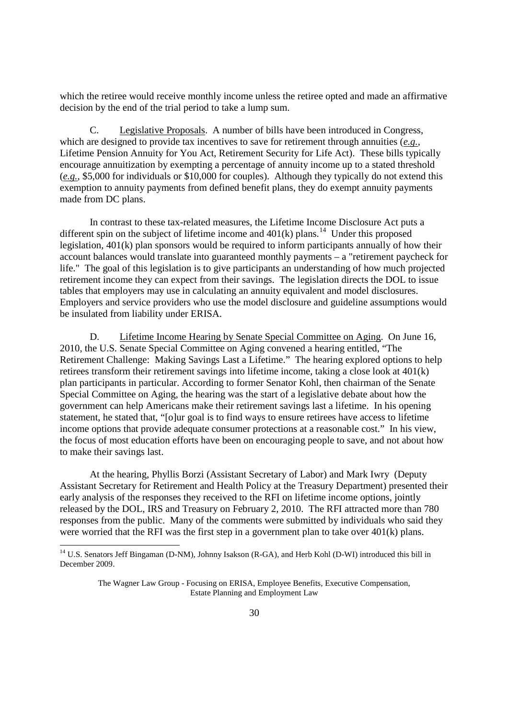which the retiree would receive monthly income unless the retiree opted and made an affirmative decision by the end of the trial period to take a lump sum.

C. Legislative Proposals. A number of bills have been introduced in Congress, which are designed to provide tax incentives to save for retirement through annuities (*e.g.*, Lifetime Pension Annuity for You Act, Retirement Security for Life Act). These bills typically encourage annuitization by exempting a percentage of annuity income up to a stated threshold (*e.g.*, \$5,000 for individuals or \$10,000 for couples). Although they typically do not extend this exemption to annuity payments from defined benefit plans, they do exempt annuity payments made from DC plans.

In contrast to these tax-related measures, the Lifetime Income Disclosure Act puts a different spin on the subject of lifetime income and  $401(k)$  plans.<sup>14</sup> Under this proposed legislation, 401(k) plan sponsors would be required to inform participants annually of how their account balances would translate into guaranteed monthly payments – a "retirement paycheck for life." The goal of this legislation is to give participants an understanding of how much projected retirement income they can expect from their savings. The legislation directs the DOL to issue tables that employers may use in calculating an annuity equivalent and model disclosures. Employers and service providers who use the model disclosure and guideline assumptions would be insulated from liability under ERISA.

D. Lifetime Income Hearing by Senate Special Committee on Aging. On June 16, 2010, the U.S. Senate Special Committee on Aging convened a hearing entitled, "The Retirement Challenge: Making Savings Last a Lifetime." The hearing explored options to help retirees transform their retirement savings into lifetime income, taking a close look at 401(k) plan participants in particular. According to former Senator Kohl, then chairman of the Senate Special Committee on Aging, the hearing was the start of a legislative debate about how the government can help Americans make their retirement savings last a lifetime. In his opening statement, he stated that, "[o]ur goal is to find ways to ensure retirees have access to lifetime income options that provide adequate consumer protections at a reasonable cost." In his view, the focus of most education efforts have been on encouraging people to save, and not about how to make their savings last.

At the hearing, Phyllis Borzi (Assistant Secretary of Labor) and Mark Iwry (Deputy Assistant Secretary for Retirement and Health Policy at the Treasury Department) presented their early analysis of the responses they received to the RFI on lifetime income options, jointly released by the DOL, IRS and Treasury on February 2, 2010. The RFI attracted more than 780 responses from the public. Many of the comments were submitted by individuals who said they were worried that the RFI was the first step in a government plan to take over 401(k) plans.

<sup>&</sup>lt;sup>14</sup> U.S. Senators Jeff Bingaman (D-NM), Johnny Isakson (R-GA), and Herb Kohl (D-WI) introduced this bill in December 2009.

The Wagner Law Group - Focusing on ERISA, Employee Benefits, Executive Compensation, Estate Planning and Employment Law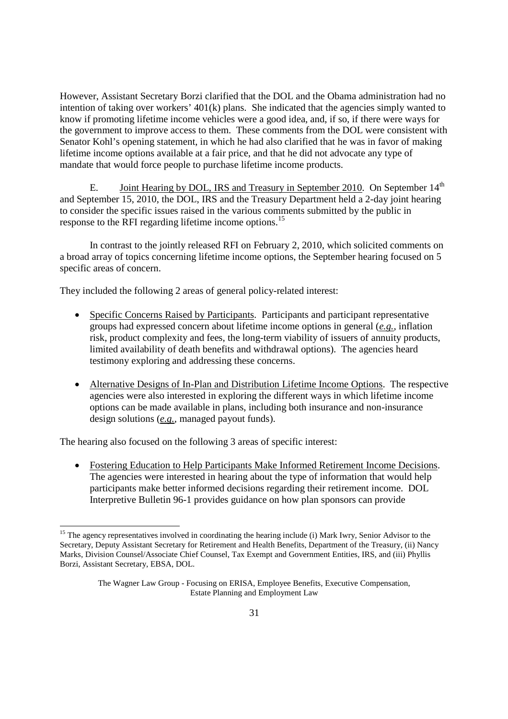However, Assistant Secretary Borzi clarified that the DOL and the Obama administration had no intention of taking over workers' 401(k) plans. She indicated that the agencies simply wanted to know if promoting lifetime income vehicles were a good idea, and, if so, if there were ways for the government to improve access to them. These comments from the DOL were consistent with Senator Kohl's opening statement, in which he had also clarified that he was in favor of making lifetime income options available at a fair price, and that he did not advocate any type of mandate that would force people to purchase lifetime income products.

E. Joint Hearing by DOL, IRS and Treasury in September 2010. On September  $14<sup>th</sup>$ and September 15, 2010, the DOL, IRS and the Treasury Department held a 2-day joint hearing to consider the specific issues raised in the various comments submitted by the public in response to the RFI regarding lifetime income options.<sup>15</sup>

In contrast to the jointly released RFI on February 2, 2010, which solicited comments on a broad array of topics concerning lifetime income options, the September hearing focused on 5 specific areas of concern.

They included the following 2 areas of general policy-related interest:

- Specific Concerns Raised by Participants. Participants and participant representative groups had expressed concern about lifetime income options in general (*e.g.*, inflation risk, product complexity and fees, the long-term viability of issuers of annuity products, limited availability of death benefits and withdrawal options). The agencies heard testimony exploring and addressing these concerns.
- Alternative Designs of In-Plan and Distribution Lifetime Income Options. The respective agencies were also interested in exploring the different ways in which lifetime income options can be made available in plans, including both insurance and non-insurance design solutions (*e.g.*, managed payout funds).

The hearing also focused on the following 3 areas of specific interest:

 Fostering Education to Help Participants Make Informed Retirement Income Decisions. The agencies were interested in hearing about the type of information that would help participants make better informed decisions regarding their retirement income. DOL Interpretive Bulletin 96-1 provides guidance on how plan sponsors can provide

<sup>&</sup>lt;sup>15</sup> The agency representatives involved in coordinating the hearing include (i) Mark Iwry, Senior Advisor to the Secretary, Deputy Assistant Secretary for Retirement and Health Benefits, Department of the Treasury, (ii) Nancy Marks, Division Counsel/Associate Chief Counsel, Tax Exempt and Government Entities, IRS, and (iii) Phyllis Borzi, Assistant Secretary, EBSA, DOL.

The Wagner Law Group - Focusing on ERISA, Employee Benefits, Executive Compensation, Estate Planning and Employment Law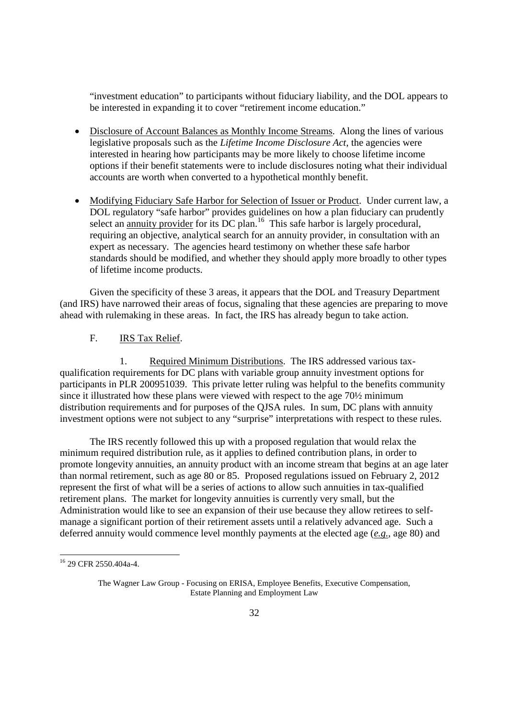"investment education" to participants without fiduciary liability, and the DOL appears to be interested in expanding it to cover "retirement income education."

- Disclosure of Account Balances as Monthly Income Streams. Along the lines of various legislative proposals such as the *Lifetime Income Disclosure Act*, the agencies were interested in hearing how participants may be more likely to choose lifetime income options if their benefit statements were to include disclosures noting what their individual accounts are worth when converted to a hypothetical monthly benefit.
- Modifying Fiduciary Safe Harbor for Selection of Issuer or Product. Under current law, a DOL regulatory "safe harbor" provides guidelines on how a plan fiduciary can prudently select an annuity provider for its DC plan.<sup>16</sup> This safe harbor is largely procedural, requiring an objective, analytical search for an annuity provider, in consultation with an expert as necessary. The agencies heard testimony on whether these safe harbor standards should be modified, and whether they should apply more broadly to other types of lifetime income products.

Given the specificity of these 3 areas, it appears that the DOL and Treasury Department (and IRS) have narrowed their areas of focus, signaling that these agencies are preparing to move ahead with rulemaking in these areas. In fact, the IRS has already begun to take action.

#### F. IRS Tax Relief.

1. Required Minimum Distributions. The IRS addressed various taxqualification requirements for DC plans with variable group annuity investment options for participants in PLR 200951039. This private letter ruling was helpful to the benefits community since it illustrated how these plans were viewed with respect to the age 70½ minimum distribution requirements and for purposes of the QJSA rules. In sum, DC plans with annuity investment options were not subject to any "surprise" interpretations with respect to these rules.

The IRS recently followed this up with a proposed regulation that would relax the minimum required distribution rule, as it applies to defined contribution plans, in order to promote longevity annuities, an annuity product with an income stream that begins at an age later than normal retirement, such as age 80 or 85. Proposed regulations issued on February 2, 2012 represent the first of what will be a series of actions to allow such annuities in tax-qualified retirement plans. The market for longevity annuities is currently very small, but the Administration would like to see an expansion of their use because they allow retirees to selfmanage a significant portion of their retirement assets until a relatively advanced age. Such a deferred annuity would commence level monthly payments at the elected age (*e.g.*, age 80) and

<sup>16</sup> 29 CFR 2550.404a-4.

The Wagner Law Group - Focusing on ERISA, Employee Benefits, Executive Compensation, Estate Planning and Employment Law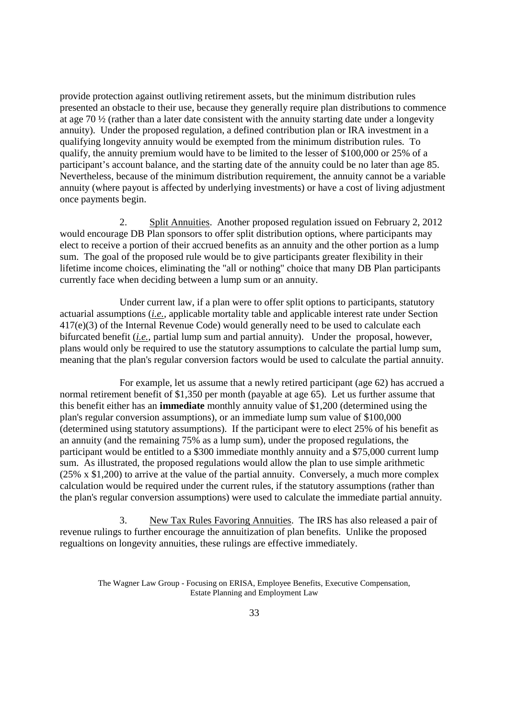provide protection against outliving retirement assets, but the minimum distribution rules presented an obstacle to their use, because they generally require plan distributions to commence at age 70 ½ (rather than a later date consistent with the annuity starting date under a longevity annuity). Under the proposed regulation, a defined contribution plan or IRA investment in a qualifying longevity annuity would be exempted from the minimum distribution rules. To qualify, the annuity premium would have to be limited to the lesser of \$100,000 or 25% of a participant's account balance, and the starting date of the annuity could be no later than age 85. Nevertheless, because of the minimum distribution requirement, the annuity cannot be a variable annuity (where payout is affected by underlying investments) or have a cost of living adjustment once payments begin.

2. Split Annuities. Another proposed regulation issued on February 2, 2012 would encourage DB Plan sponsors to offer split distribution options, where participants may elect to receive a portion of their accrued benefits as an annuity and the other portion as a lump sum. The goal of the proposed rule would be to give participants greater flexibility in their lifetime income choices, eliminating the "all or nothing" choice that many DB Plan participants currently face when deciding between a lump sum or an annuity.

Under current law, if a plan were to offer split options to participants, statutory actuarial assumptions (*i.e.*, applicable mortality table and applicable interest rate under Section 417(e)(3) of the Internal Revenue Code) would generally need to be used to calculate each bifurcated benefit (*i.e.*, partial lump sum and partial annuity). Under the proposal, however, plans would only be required to use the statutory assumptions to calculate the partial lump sum, meaning that the plan's regular conversion factors would be used to calculate the partial annuity.

For example, let us assume that a newly retired participant (age 62) has accrued a normal retirement benefit of \$1,350 per month (payable at age 65). Let us further assume that this benefit either has an **immediate** monthly annuity value of \$1,200 (determined using the plan's regular conversion assumptions), or an immediate lump sum value of \$100,000 (determined using statutory assumptions). If the participant were to elect 25% of his benefit as an annuity (and the remaining 75% as a lump sum), under the proposed regulations, the participant would be entitled to a \$300 immediate monthly annuity and a \$75,000 current lump sum. As illustrated, the proposed regulations would allow the plan to use simple arithmetic (25% x \$1,200) to arrive at the value of the partial annuity. Conversely, a much more complex calculation would be required under the current rules, if the statutory assumptions (rather than the plan's regular conversion assumptions) were used to calculate the immediate partial annuity.

3. New Tax Rules Favoring Annuities. The IRS has also released a pair of revenue rulings to further encourage the annuitization of plan benefits. Unlike the proposed regualtions on longevity annuities, these rulings are effective immediately.